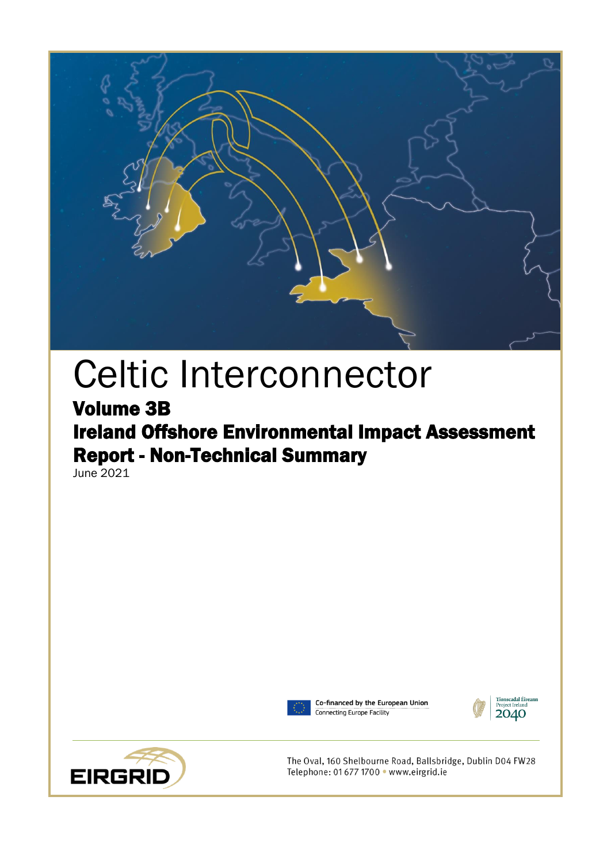

# Celtic Interconnector

## Volume 3B Ireland Offshore Environmental Impact Assessment Report - Non-Technical Summary

June 2021



Co-financed by the European Union Connecting Europe Facility





The Oval, 160 Shelbourne Road, Ballsbridge, Dublin D04 FW28 Telephone: 01 677 1700 · www.eirgrid.ie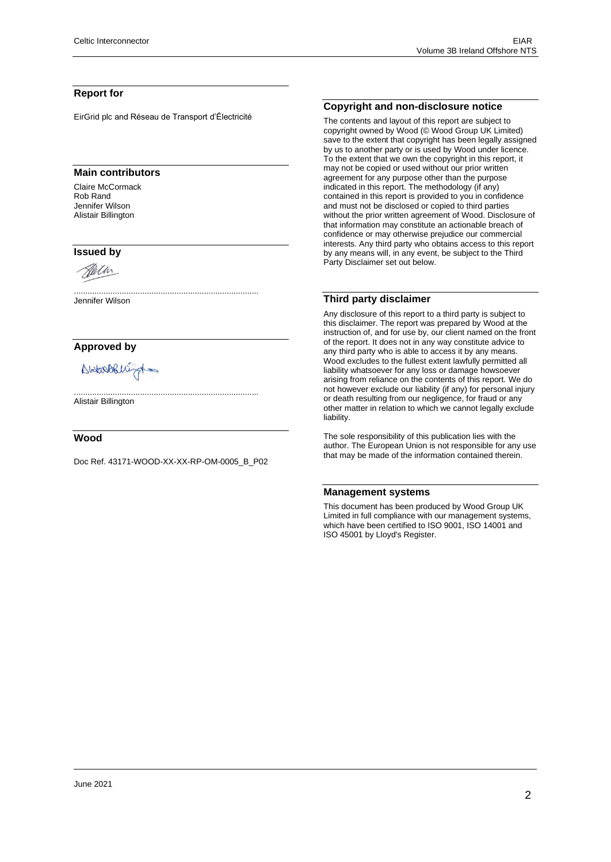#### **Report for**

EirGrid plc and Réseau de Transport d'Électricité

#### **Main contributors**

Claire McCormack Rob Rand Jennifer Wilson Alistair Billington

#### **Issued by**



................................................................................. Jennifer Wilson

#### **Approved by**

Abitanobilizat

Alistair Billington

#### **Wood**

Doc Ref. 43171-WOOD-XX-XX-RP-OM-0005\_B\_P02

.................................................................................

#### **Copyright and non-disclosure notice**

The contents and layout of this report are subject to copyright owned by Wood (© Wood Group UK Limited) save to the extent that copyright has been legally assigned by us to another party or is used by Wood under licence. To the extent that we own the copyright in this report, it may not be copied or used without our prior written agreement for any purpose other than the purpose indicated in this report. The methodology (if any) contained in this report is provided to you in confidence and must not be disclosed or copied to third parties without the prior written agreement of Wood. Disclosure of that information may constitute an actionable breach of confidence or may otherwise prejudice our commercial interests. Any third party who obtains access to this report by any means will, in any event, be subject to the Third Party Disclaimer set out below.

#### **Third party disclaimer**

Any disclosure of this report to a third party is subject to this disclaimer. The report was prepared by Wood at the instruction of, and for use by, our client named on the front of the report. It does not in any way constitute advice to any third party who is able to access it by any means. Wood excludes to the fullest extent lawfully permitted all liability whatsoever for any loss or damage howsoever arising from reliance on the contents of this report. We do not however exclude our liability (if any) for personal injury or death resulting from our negligence, for fraud or any other matter in relation to which we cannot legally exclude liability.

The sole responsibility of this publication lies with the author. The European Union is not responsible for any use that may be made of the information contained therein.

#### **Management systems**

This document has been produced by Wood Group UK Limited in full compliance with our management systems, which have been certified to ISO 9001, ISO 14001 and ISO 45001 by Lloyd's Register.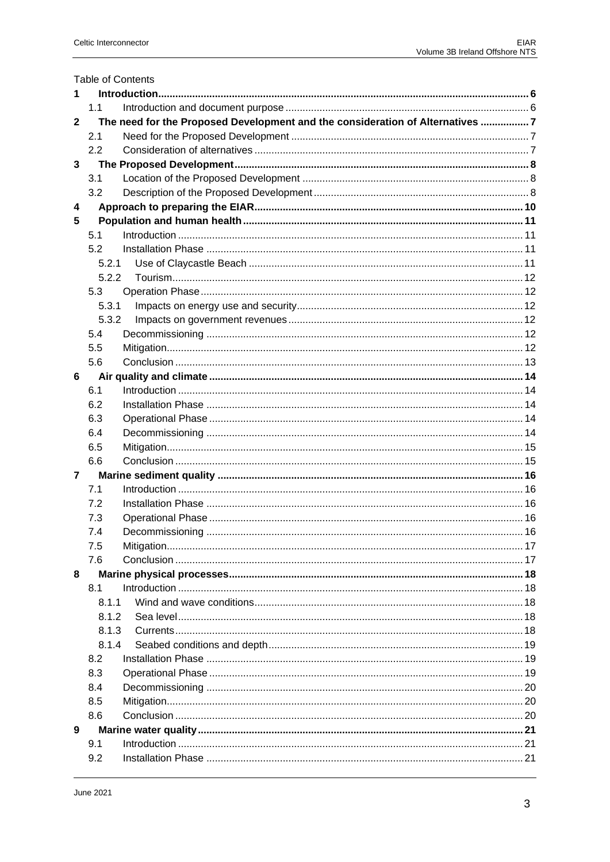|                | <b>Table of Contents</b>                                                      |  |  |  |  |
|----------------|-------------------------------------------------------------------------------|--|--|--|--|
| 1              |                                                                               |  |  |  |  |
|                | 1.1                                                                           |  |  |  |  |
| $\mathbf{2}$   | The need for the Proposed Development and the consideration of Alternatives 7 |  |  |  |  |
|                | 2.1                                                                           |  |  |  |  |
|                | 2.2                                                                           |  |  |  |  |
| 3              |                                                                               |  |  |  |  |
|                | 3.1                                                                           |  |  |  |  |
|                | 3.2                                                                           |  |  |  |  |
| 4              |                                                                               |  |  |  |  |
| 5              |                                                                               |  |  |  |  |
|                | 5.1                                                                           |  |  |  |  |
|                | 5.2                                                                           |  |  |  |  |
|                | 5.2.1                                                                         |  |  |  |  |
|                | 5.2.2                                                                         |  |  |  |  |
|                | 5.3                                                                           |  |  |  |  |
|                | 5.3.1                                                                         |  |  |  |  |
|                | 5.3.2                                                                         |  |  |  |  |
|                | 5.4                                                                           |  |  |  |  |
|                | 5.5                                                                           |  |  |  |  |
|                | 5.6                                                                           |  |  |  |  |
| 6              |                                                                               |  |  |  |  |
|                | 6.1                                                                           |  |  |  |  |
|                | 6.2                                                                           |  |  |  |  |
|                | 6.3                                                                           |  |  |  |  |
|                | 6.4                                                                           |  |  |  |  |
|                | 6.5                                                                           |  |  |  |  |
|                | 6.6                                                                           |  |  |  |  |
| $\overline{7}$ |                                                                               |  |  |  |  |
|                | 7.1                                                                           |  |  |  |  |
|                | 7.2                                                                           |  |  |  |  |
|                | 7.3                                                                           |  |  |  |  |
|                | 7.4                                                                           |  |  |  |  |
|                | 7.5                                                                           |  |  |  |  |
|                | 7.6                                                                           |  |  |  |  |
| 8              |                                                                               |  |  |  |  |
|                | 8.1                                                                           |  |  |  |  |
|                | 8.1.1                                                                         |  |  |  |  |
|                | 8.1.2                                                                         |  |  |  |  |
|                | 8.1.3                                                                         |  |  |  |  |
|                | 8.1.4                                                                         |  |  |  |  |
|                | 8.2                                                                           |  |  |  |  |
|                | 8.3                                                                           |  |  |  |  |
|                | 8.4                                                                           |  |  |  |  |
|                | 8.5                                                                           |  |  |  |  |
|                | 8.6                                                                           |  |  |  |  |
| 9              |                                                                               |  |  |  |  |
|                | 9.1                                                                           |  |  |  |  |
|                | 9.2                                                                           |  |  |  |  |
|                |                                                                               |  |  |  |  |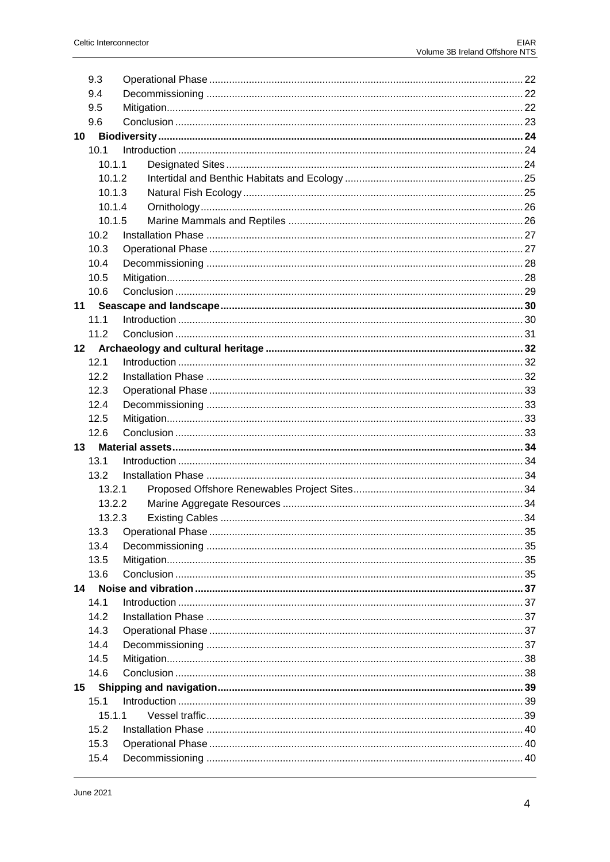| 9.3    |    |
|--------|----|
| 9.4    |    |
| 9.5    |    |
| 9.6    |    |
| 10     |    |
| 10.1   |    |
| 10.1.1 |    |
| 10.1.2 |    |
| 10.1.3 |    |
| 10.1.4 |    |
| 10.1.5 |    |
| 10.2   |    |
| 10.3   |    |
| 10.4   |    |
| 10.5   |    |
| 10.6   |    |
| 11     |    |
| 11.1   |    |
| 11.2   |    |
| 12     |    |
| 12.1   |    |
| 12.2   |    |
| 12.3   |    |
| 12.4   |    |
| 12.5   |    |
| 12.6   |    |
| 13     |    |
| 13.1   |    |
| 13.2   |    |
| 13.2.1 |    |
| 13.2.2 |    |
| 13.2.3 |    |
|        | 35 |
| 13.4   |    |
| 13.5   |    |
| 13.6   |    |
| 14     |    |
| 14.1   |    |
| 14.2   |    |
| 14.3   |    |
| 14.4   |    |
| 14.5   |    |
| 14.6   |    |
| 15     |    |
| 15.1   |    |
| 15.1.1 |    |
| 15.2   |    |
| 15.3   |    |
| 15.4   |    |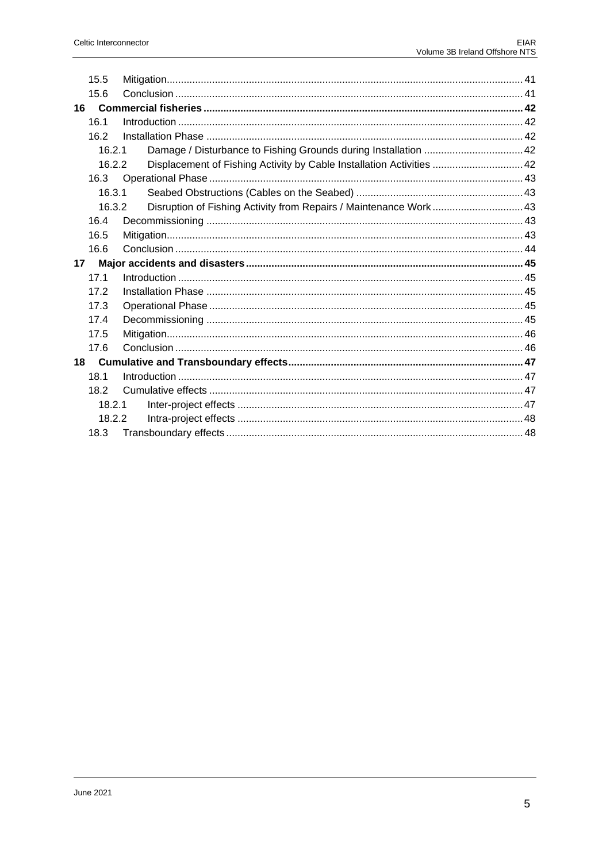|    | 15.5   |                                                                      |  |
|----|--------|----------------------------------------------------------------------|--|
|    | 15.6   |                                                                      |  |
|    |        |                                                                      |  |
|    | 16.1   |                                                                      |  |
|    | 16.2   |                                                                      |  |
|    | 16.2.1 |                                                                      |  |
|    | 16.2.2 | Displacement of Fishing Activity by Cable Installation Activities 42 |  |
|    | 16.3   |                                                                      |  |
|    | 16.3.1 |                                                                      |  |
|    | 16.3.2 | Disruption of Fishing Activity from Repairs / Maintenance Work43     |  |
|    | 16.4   |                                                                      |  |
|    | 16.5   |                                                                      |  |
|    | 16.6   |                                                                      |  |
| 17 |        |                                                                      |  |
|    | 17.1   |                                                                      |  |
|    | 17.2   |                                                                      |  |
|    | 17.3   |                                                                      |  |
|    | 17.4   |                                                                      |  |
|    | 17.5   |                                                                      |  |
|    | 17.6   |                                                                      |  |
|    |        |                                                                      |  |
|    | 18.1   |                                                                      |  |
|    | 18.2   |                                                                      |  |
|    | 18.2.1 |                                                                      |  |
|    | 18.2.2 |                                                                      |  |
|    | 18.3   |                                                                      |  |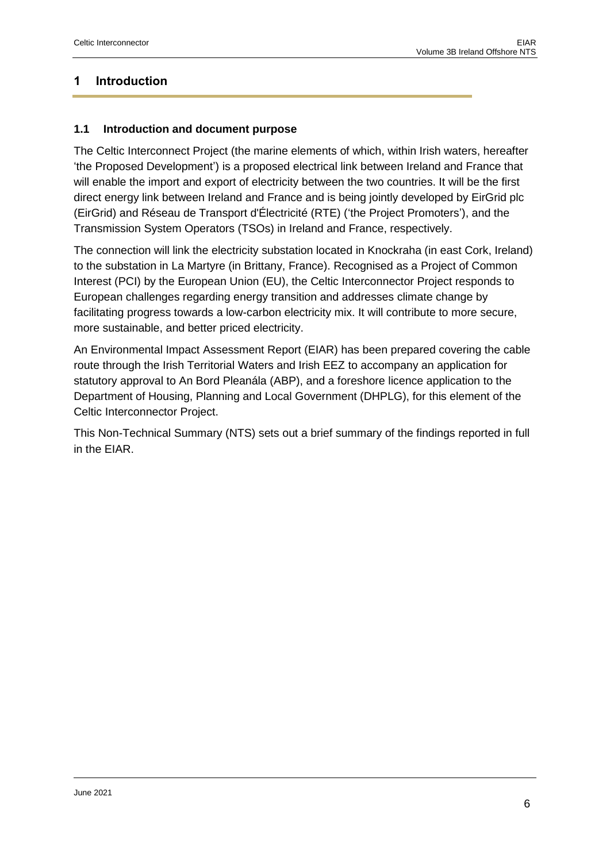## <span id="page-5-0"></span>**1 Introduction**

## <span id="page-5-1"></span>**1.1 Introduction and document purpose**

The Celtic Interconnect Project (the marine elements of which, within Irish waters, hereafter 'the Proposed Development') is a proposed electrical link between Ireland and France that will enable the import and export of electricity between the two countries. It will be the first direct energy link between Ireland and France and is being jointly developed by EirGrid plc (EirGrid) and Réseau de Transport d'Électricité (RTE) ('the Project Promoters'), and the Transmission System Operators (TSOs) in Ireland and France, respectively.

The connection will link the electricity substation located in Knockraha (in east Cork, Ireland) to the substation in La Martyre (in Brittany, France). Recognised as a Project of Common Interest (PCI) by the European Union (EU), the Celtic Interconnector Project responds to European challenges regarding energy transition and addresses climate change by facilitating progress towards a low-carbon electricity mix. It will contribute to more secure, more sustainable, and better priced electricity.

An Environmental Impact Assessment Report (EIAR) has been prepared covering the cable route through the Irish Territorial Waters and Irish EEZ to accompany an application for statutory approval to An Bord Pleanála (ABP), and a foreshore licence application to the Department of Housing, Planning and Local Government (DHPLG), for this element of the Celtic Interconnector Project.

This Non-Technical Summary (NTS) sets out a brief summary of the findings reported in full in the EIAR.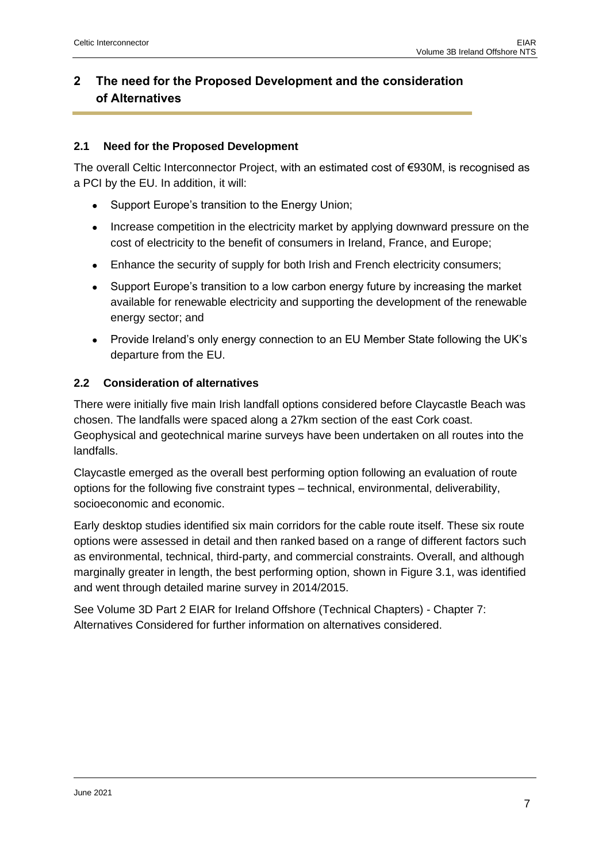## <span id="page-6-0"></span>**2 The need for the Proposed Development and the consideration of Alternatives**

## <span id="page-6-1"></span>**2.1 Need for the Proposed Development**

The overall Celtic Interconnector Project, with an estimated cost of €930M, is recognised as a PCI by the EU. In addition, it will:

- Support Europe's transition to the Energy Union;
- Increase competition in the electricity market by applying downward pressure on the cost of electricity to the benefit of consumers in Ireland, France, and Europe;
- Enhance the security of supply for both Irish and French electricity consumers;
- Support Europe's transition to a low carbon energy future by increasing the market available for renewable electricity and supporting the development of the renewable energy sector; and
- Provide Ireland's only energy connection to an EU Member State following the UK's departure from the EU.

## <span id="page-6-2"></span>**2.2 Consideration of alternatives**

There were initially five main Irish landfall options considered before Claycastle Beach was chosen. The landfalls were spaced along a 27km section of the east Cork coast. Geophysical and geotechnical marine surveys have been undertaken on all routes into the landfalls.

Claycastle emerged as the overall best performing option following an evaluation of route options for the following five constraint types – technical, environmental, deliverability, socioeconomic and economic.

Early desktop studies identified six main corridors for the cable route itself. These six route options were assessed in detail and then ranked based on a range of different factors such as environmental, technical, third-party, and commercial constraints. Overall, and although marginally greater in length, the best performing option, shown in Figure 3.1, was identified and went through detailed marine survey in 2014/2015.

See Volume 3D Part 2 EIAR for Ireland Offshore (Technical Chapters) - Chapter 7: Alternatives Considered for further information on alternatives considered.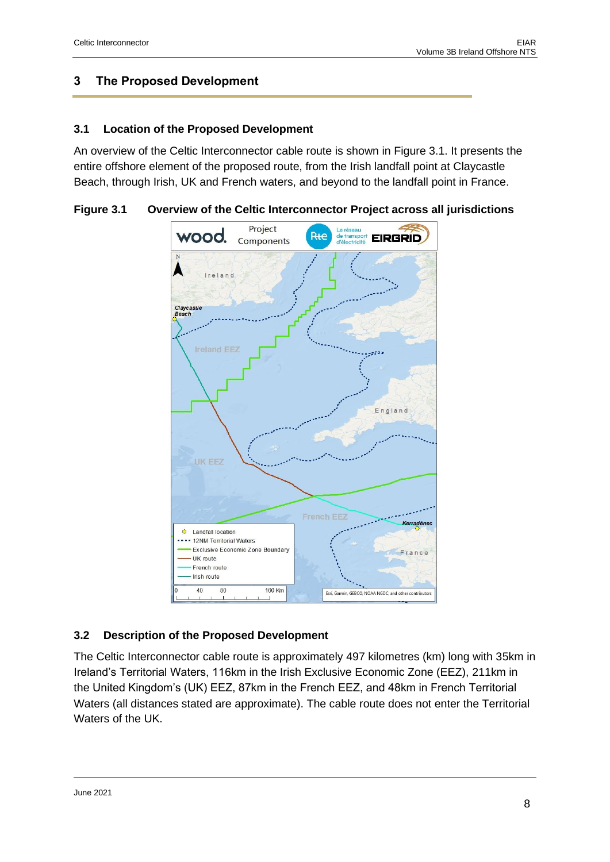## <span id="page-7-0"></span>**3 The Proposed Development**

#### <span id="page-7-1"></span>**3.1 Location of the Proposed Development**

An overview of the Celtic Interconnector cable route is shown in Figure 3.1. It presents the entire offshore element of the proposed route, from the Irish landfall point at Claycastle Beach, through Irish, UK and French waters, and beyond to the landfall point in France.

**Figure 3.1 Overview of the Celtic Interconnector Project across all jurisdictions**



## <span id="page-7-2"></span>**3.2 Description of the Proposed Development**

The Celtic Interconnector cable route is approximately 497 kilometres (km) long with 35km in Ireland's Territorial Waters, 116km in the Irish Exclusive Economic Zone (EEZ), 211km in the United Kingdom's (UK) EEZ, 87km in the French EEZ, and 48km in French Territorial Waters (all distances stated are approximate). The cable route does not enter the Territorial Waters of the UK.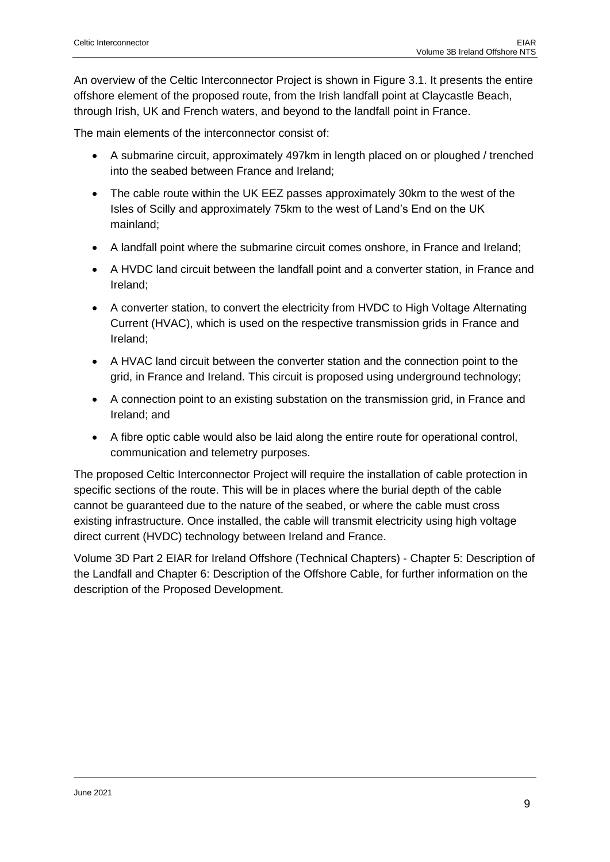An overview of the Celtic Interconnector Project is shown in Figure 3.1. It presents the entire offshore element of the proposed route, from the Irish landfall point at Claycastle Beach, through Irish, UK and French waters, and beyond to the landfall point in France.

The main elements of the interconnector consist of:

- A submarine circuit, approximately 497km in length placed on or ploughed / trenched into the seabed between France and Ireland;
- The cable route within the UK EEZ passes approximately 30km to the west of the Isles of Scilly and approximately 75km to the west of Land's End on the UK mainland;
- A landfall point where the submarine circuit comes onshore, in France and Ireland;
- A HVDC land circuit between the landfall point and a converter station, in France and Ireland;
- A converter station, to convert the electricity from HVDC to High Voltage Alternating Current (HVAC), which is used on the respective transmission grids in France and Ireland;
- A HVAC land circuit between the converter station and the connection point to the grid, in France and Ireland. This circuit is proposed using underground technology;
- A connection point to an existing substation on the transmission grid, in France and Ireland; and
- A fibre optic cable would also be laid along the entire route for operational control, communication and telemetry purposes.

The proposed Celtic Interconnector Project will require the installation of cable protection in specific sections of the route. This will be in places where the burial depth of the cable cannot be guaranteed due to the nature of the seabed, or where the cable must cross existing infrastructure. Once installed, the cable will transmit electricity using high voltage direct current (HVDC) technology between Ireland and France.

Volume 3D Part 2 EIAR for Ireland Offshore (Technical Chapters) - Chapter 5: Description of the Landfall and Chapter 6: Description of the Offshore Cable, for further information on the description of the Proposed Development.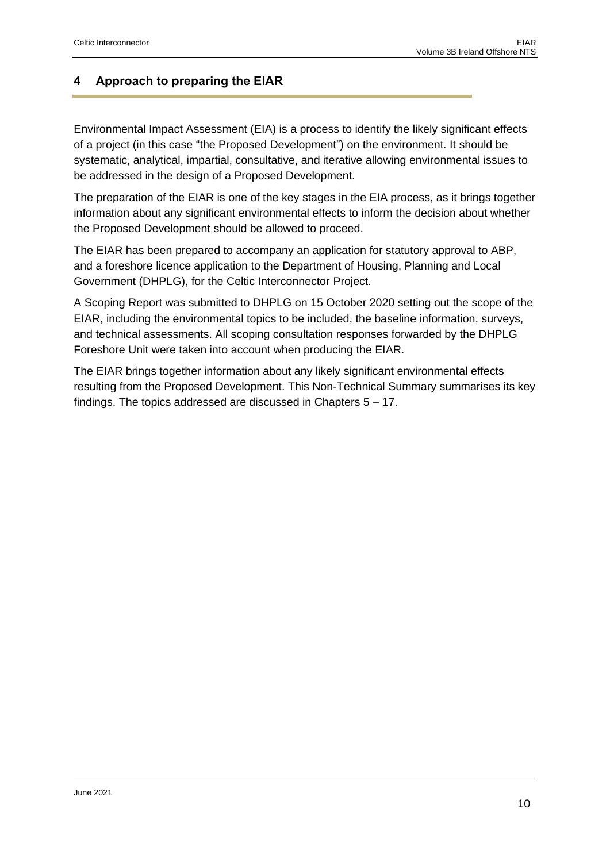## <span id="page-9-0"></span>**4 Approach to preparing the EIAR**

Environmental Impact Assessment (EIA) is a process to identify the likely significant effects of a project (in this case "the Proposed Development") on the environment. It should be systematic, analytical, impartial, consultative, and iterative allowing environmental issues to be addressed in the design of a Proposed Development.

The preparation of the EIAR is one of the key stages in the EIA process, as it brings together information about any significant environmental effects to inform the decision about whether the Proposed Development should be allowed to proceed.

The EIAR has been prepared to accompany an application for statutory approval to ABP, and a foreshore licence application to the Department of Housing, Planning and Local Government (DHPLG), for the Celtic Interconnector Project.

A Scoping Report was submitted to DHPLG on 15 October 2020 setting out the scope of the EIAR, including the environmental topics to be included, the baseline information, surveys, and technical assessments. All scoping consultation responses forwarded by the DHPLG Foreshore Unit were taken into account when producing the EIAR.

The EIAR brings together information about any likely significant environmental effects resulting from the Proposed Development. This Non-Technical Summary summarises its key findings. The topics addressed are discussed in Chapters 5 – 17.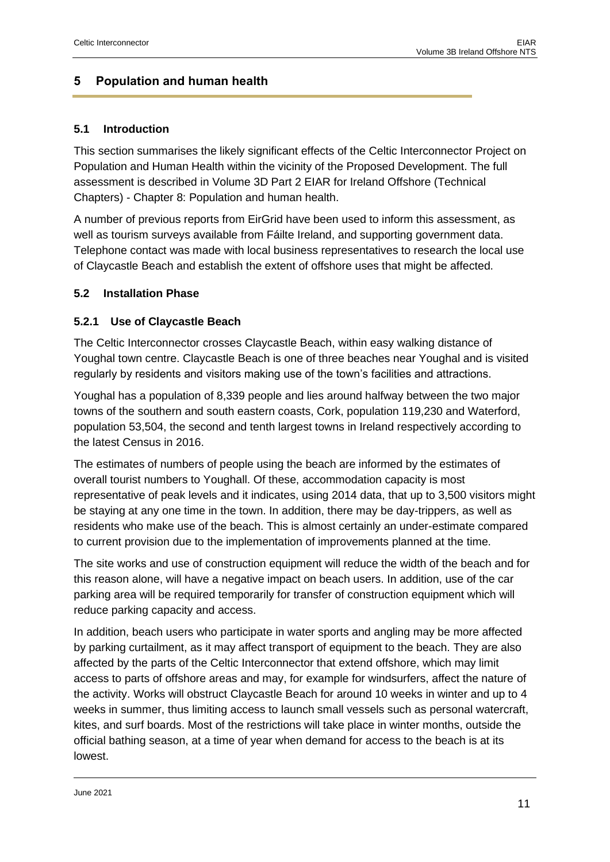## <span id="page-10-0"></span>**5 Population and human health**

#### <span id="page-10-1"></span>**5.1 Introduction**

This section summarises the likely significant effects of the Celtic Interconnector Project on Population and Human Health within the vicinity of the Proposed Development. The full assessment is described in Volume 3D Part 2 EIAR for Ireland Offshore (Technical Chapters) - Chapter 8: Population and human health.

A number of previous reports from EirGrid have been used to inform this assessment, as well as tourism surveys available from Fáilte Ireland, and supporting government data. Telephone contact was made with local business representatives to research the local use of Claycastle Beach and establish the extent of offshore uses that might be affected.

#### <span id="page-10-2"></span>**5.2 Installation Phase**

## <span id="page-10-3"></span>**5.2.1 Use of Claycastle Beach**

The Celtic Interconnector crosses Claycastle Beach, within easy walking distance of Youghal town centre. Claycastle Beach is one of three beaches near Youghal and is visited regularly by residents and visitors making use of the town's facilities and attractions.

Youghal has a population of 8,339 people and lies around halfway between the two major towns of the southern and south eastern coasts, Cork, population 119,230 and Waterford, population 53,504, the second and tenth largest towns in Ireland respectively according to the latest Census in 2016.

The estimates of numbers of people using the beach are informed by the estimates of overall tourist numbers to Youghall. Of these, accommodation capacity is most representative of peak levels and it indicates, using 2014 data, that up to 3,500 visitors might be staying at any one time in the town. In addition, there may be day-trippers, as well as residents who make use of the beach. This is almost certainly an under-estimate compared to current provision due to the implementation of improvements planned at the time.

The site works and use of construction equipment will reduce the width of the beach and for this reason alone, will have a negative impact on beach users. In addition, use of the car parking area will be required temporarily for transfer of construction equipment which will reduce parking capacity and access.

In addition, beach users who participate in water sports and angling may be more affected by parking curtailment, as it may affect transport of equipment to the beach. They are also affected by the parts of the Celtic Interconnector that extend offshore, which may limit access to parts of offshore areas and may, for example for windsurfers, affect the nature of the activity. Works will obstruct Claycastle Beach for around 10 weeks in winter and up to 4 weeks in summer, thus limiting access to launch small vessels such as personal watercraft, kites, and surf boards. Most of the restrictions will take place in winter months, outside the official bathing season, at a time of year when demand for access to the beach is at its lowest.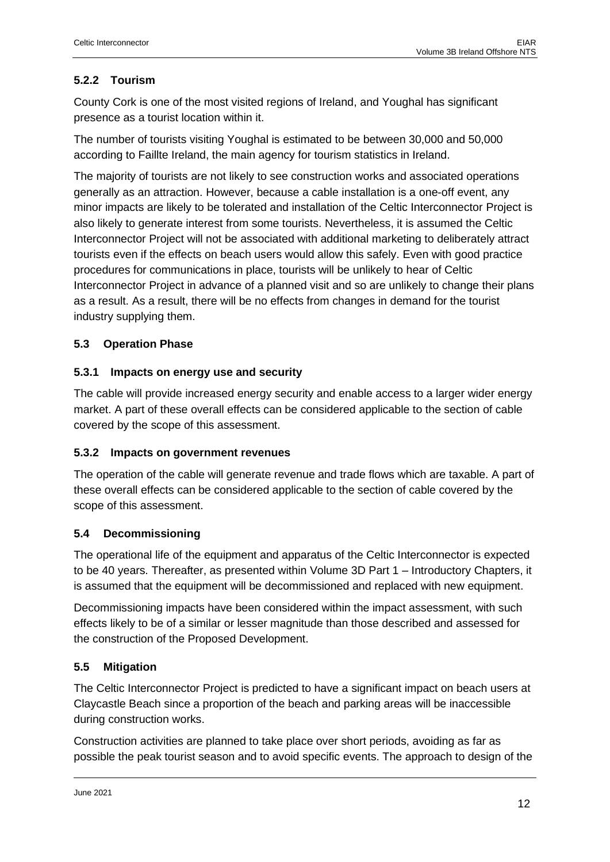## <span id="page-11-0"></span>**5.2.2 Tourism**

County Cork is one of the most visited regions of Ireland, and Youghal has significant presence as a tourist location within it.

The number of tourists visiting Youghal is estimated to be between 30,000 and 50,000 according to Faillte Ireland, the main agency for tourism statistics in Ireland.

The majority of tourists are not likely to see construction works and associated operations generally as an attraction. However, because a cable installation is a one-off event, any minor impacts are likely to be tolerated and installation of the Celtic Interconnector Project is also likely to generate interest from some tourists. Nevertheless, it is assumed the Celtic Interconnector Project will not be associated with additional marketing to deliberately attract tourists even if the effects on beach users would allow this safely. Even with good practice procedures for communications in place, tourists will be unlikely to hear of Celtic Interconnector Project in advance of a planned visit and so are unlikely to change their plans as a result. As a result, there will be no effects from changes in demand for the tourist industry supplying them.

## <span id="page-11-1"></span>**5.3 Operation Phase**

## <span id="page-11-2"></span>**5.3.1 Impacts on energy use and security**

The cable will provide increased energy security and enable access to a larger wider energy market. A part of these overall effects can be considered applicable to the section of cable covered by the scope of this assessment.

## <span id="page-11-3"></span>**5.3.2 Impacts on government revenues**

The operation of the cable will generate revenue and trade flows which are taxable. A part of these overall effects can be considered applicable to the section of cable covered by the scope of this assessment.

## <span id="page-11-4"></span>**5.4 Decommissioning**

The operational life of the equipment and apparatus of the Celtic Interconnector is expected to be 40 years. Thereafter, as presented within Volume 3D Part 1 – Introductory Chapters, it is assumed that the equipment will be decommissioned and replaced with new equipment.

Decommissioning impacts have been considered within the impact assessment, with such effects likely to be of a similar or lesser magnitude than those described and assessed for the construction of the Proposed Development.

## <span id="page-11-5"></span>**5.5 Mitigation**

The Celtic Interconnector Project is predicted to have a significant impact on beach users at Claycastle Beach since a proportion of the beach and parking areas will be inaccessible during construction works.

Construction activities are planned to take place over short periods, avoiding as far as possible the peak tourist season and to avoid specific events. The approach to design of the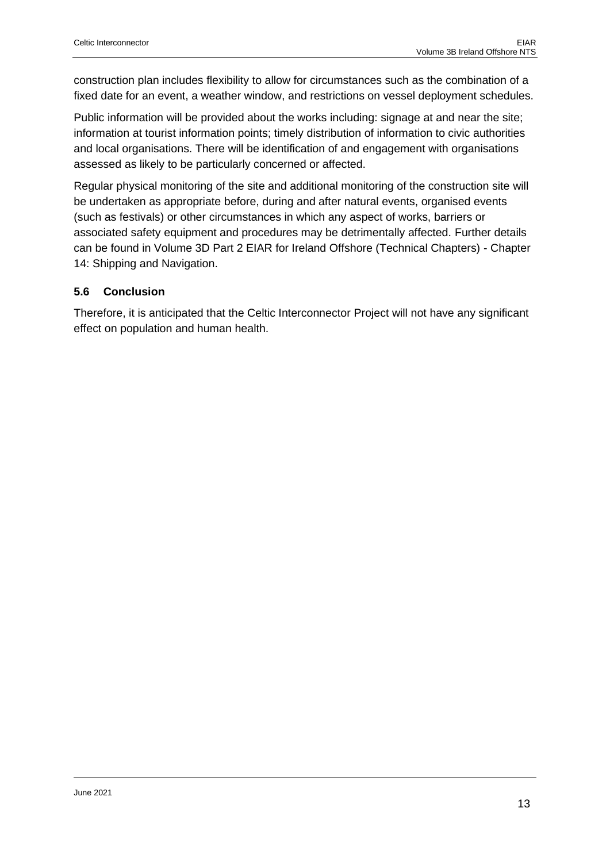construction plan includes flexibility to allow for circumstances such as the combination of a fixed date for an event, a weather window, and restrictions on vessel deployment schedules.

Public information will be provided about the works including: signage at and near the site; information at tourist information points; timely distribution of information to civic authorities and local organisations. There will be identification of and engagement with organisations assessed as likely to be particularly concerned or affected.

Regular physical monitoring of the site and additional monitoring of the construction site will be undertaken as appropriate before, during and after natural events, organised events (such as festivals) or other circumstances in which any aspect of works, barriers or associated safety equipment and procedures may be detrimentally affected. Further details can be found in Volume 3D Part 2 EIAR for Ireland Offshore (Technical Chapters) - Chapter 14: Shipping and Navigation.

## <span id="page-12-0"></span>**5.6 Conclusion**

Therefore, it is anticipated that the Celtic Interconnector Project will not have any significant effect on population and human health.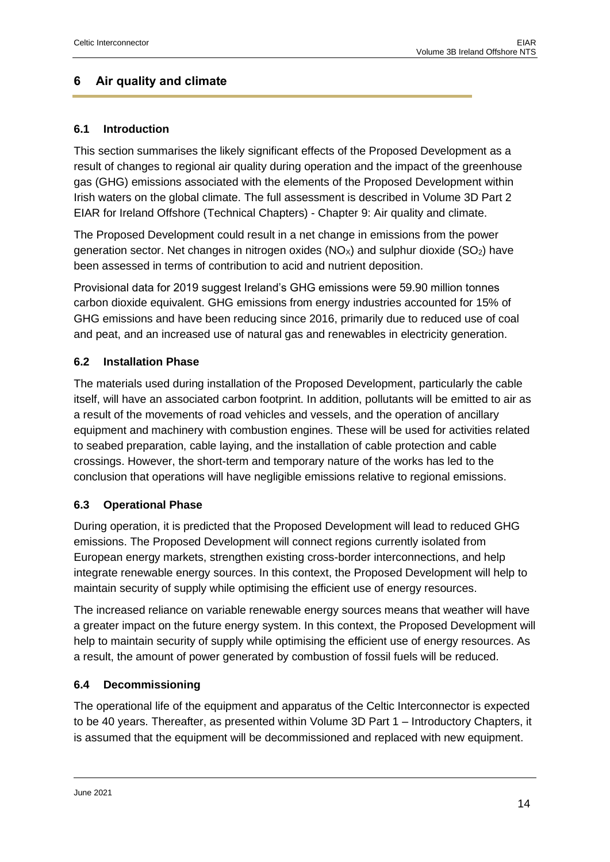## <span id="page-13-0"></span>**6 Air quality and climate**

## <span id="page-13-1"></span>**6.1 Introduction**

This section summarises the likely significant effects of the Proposed Development as a result of changes to regional air quality during operation and the impact of the greenhouse gas (GHG) emissions associated with the elements of the Proposed Development within Irish waters on the global climate. The full assessment is described in Volume 3D Part 2 EIAR for Ireland Offshore (Technical Chapters) - Chapter 9: Air quality and climate.

The Proposed Development could result in a net change in emissions from the power generation sector. Net changes in nitrogen oxides  $(NO<sub>x</sub>)$  and sulphur dioxide  $(SO<sub>2</sub>)$  have been assessed in terms of contribution to acid and nutrient deposition.

Provisional data for 2019 suggest Ireland's GHG emissions were 59.90 million tonnes carbon dioxide equivalent. GHG emissions from energy industries accounted for 15% of GHG emissions and have been reducing since 2016, primarily due to reduced use of coal and peat, and an increased use of natural gas and renewables in electricity generation.

## <span id="page-13-2"></span>**6.2 Installation Phase**

The materials used during installation of the Proposed Development, particularly the cable itself, will have an associated carbon footprint. In addition, pollutants will be emitted to air as a result of the movements of road vehicles and vessels, and the operation of ancillary equipment and machinery with combustion engines. These will be used for activities related to seabed preparation, cable laying, and the installation of cable protection and cable crossings. However, the short-term and temporary nature of the works has led to the conclusion that operations will have negligible emissions relative to regional emissions.

## <span id="page-13-3"></span>**6.3 Operational Phase**

During operation, it is predicted that the Proposed Development will lead to reduced GHG emissions. The Proposed Development will connect regions currently isolated from European energy markets, strengthen existing cross-border interconnections, and help integrate renewable energy sources. In this context, the Proposed Development will help to maintain security of supply while optimising the efficient use of energy resources.

The increased reliance on variable renewable energy sources means that weather will have a greater impact on the future energy system. In this context, the Proposed Development will help to maintain security of supply while optimising the efficient use of energy resources. As a result, the amount of power generated by combustion of fossil fuels will be reduced.

## <span id="page-13-4"></span>**6.4 Decommissioning**

The operational life of the equipment and apparatus of the Celtic Interconnector is expected to be 40 years. Thereafter, as presented within Volume 3D Part 1 – Introductory Chapters, it is assumed that the equipment will be decommissioned and replaced with new equipment.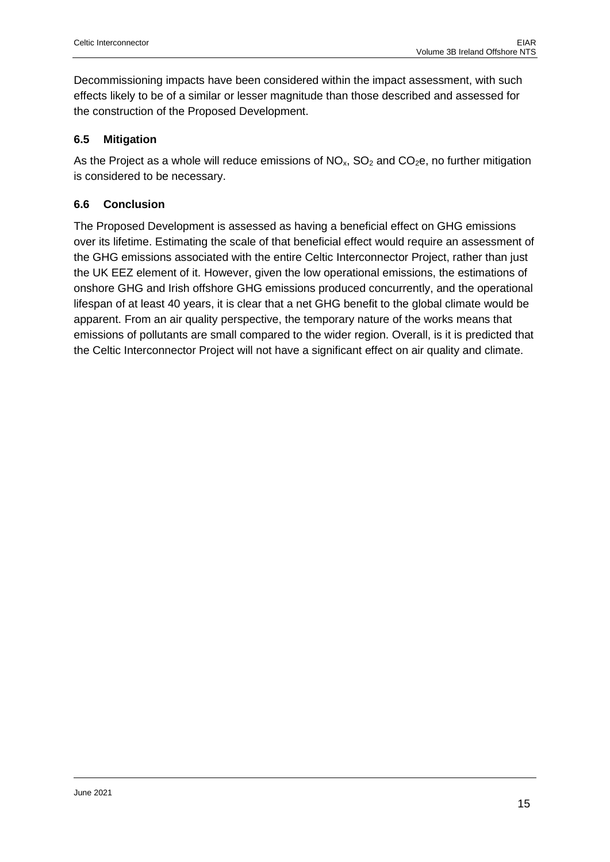Decommissioning impacts have been considered within the impact assessment, with such effects likely to be of a similar or lesser magnitude than those described and assessed for the construction of the Proposed Development.

## <span id="page-14-0"></span>**6.5 Mitigation**

As the Project as a whole will reduce emissions of  $NO<sub>x</sub>$ ,  $SO<sub>2</sub>$  and  $CO<sub>2</sub>e$ , no further mitigation is considered to be necessary.

## <span id="page-14-1"></span>**6.6 Conclusion**

The Proposed Development is assessed as having a beneficial effect on GHG emissions over its lifetime. Estimating the scale of that beneficial effect would require an assessment of the GHG emissions associated with the entire Celtic Interconnector Project, rather than just the UK EEZ element of it. However, given the low operational emissions, the estimations of onshore GHG and Irish offshore GHG emissions produced concurrently, and the operational lifespan of at least 40 years, it is clear that a net GHG benefit to the global climate would be apparent. From an air quality perspective, the temporary nature of the works means that emissions of pollutants are small compared to the wider region. Overall, is it is predicted that the Celtic Interconnector Project will not have a significant effect on air quality and climate.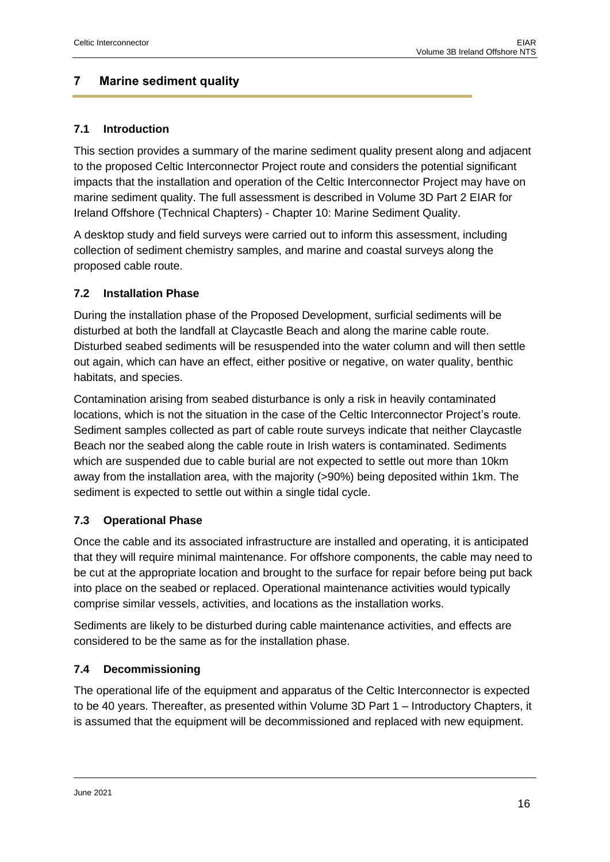## <span id="page-15-0"></span>**7 Marine sediment quality**

## <span id="page-15-1"></span>**7.1 Introduction**

This section provides a summary of the marine sediment quality present along and adjacent to the proposed Celtic Interconnector Project route and considers the potential significant impacts that the installation and operation of the Celtic Interconnector Project may have on marine sediment quality. The full assessment is described in Volume 3D Part 2 EIAR for Ireland Offshore (Technical Chapters) - Chapter 10: Marine Sediment Quality.

A desktop study and field surveys were carried out to inform this assessment, including collection of sediment chemistry samples, and marine and coastal surveys along the proposed cable route.

## <span id="page-15-2"></span>**7.2 Installation Phase**

During the installation phase of the Proposed Development, surficial sediments will be disturbed at both the landfall at Claycastle Beach and along the marine cable route. Disturbed seabed sediments will be resuspended into the water column and will then settle out again, which can have an effect, either positive or negative, on water quality, benthic habitats, and species.

Contamination arising from seabed disturbance is only a risk in heavily contaminated locations, which is not the situation in the case of the Celtic Interconnector Project's route. Sediment samples collected as part of cable route surveys indicate that neither Claycastle Beach nor the seabed along the cable route in Irish waters is contaminated. Sediments which are suspended due to cable burial are not expected to settle out more than 10km away from the installation area, with the majority (>90%) being deposited within 1km. The sediment is expected to settle out within a single tidal cycle.

## <span id="page-15-3"></span>**7.3 Operational Phase**

Once the cable and its associated infrastructure are installed and operating, it is anticipated that they will require minimal maintenance. For offshore components, the cable may need to be cut at the appropriate location and brought to the surface for repair before being put back into place on the seabed or replaced. Operational maintenance activities would typically comprise similar vessels, activities, and locations as the installation works.

Sediments are likely to be disturbed during cable maintenance activities, and effects are considered to be the same as for the installation phase.

## <span id="page-15-4"></span>**7.4 Decommissioning**

The operational life of the equipment and apparatus of the Celtic Interconnector is expected to be 40 years. Thereafter, as presented within Volume 3D Part 1 – Introductory Chapters, it is assumed that the equipment will be decommissioned and replaced with new equipment.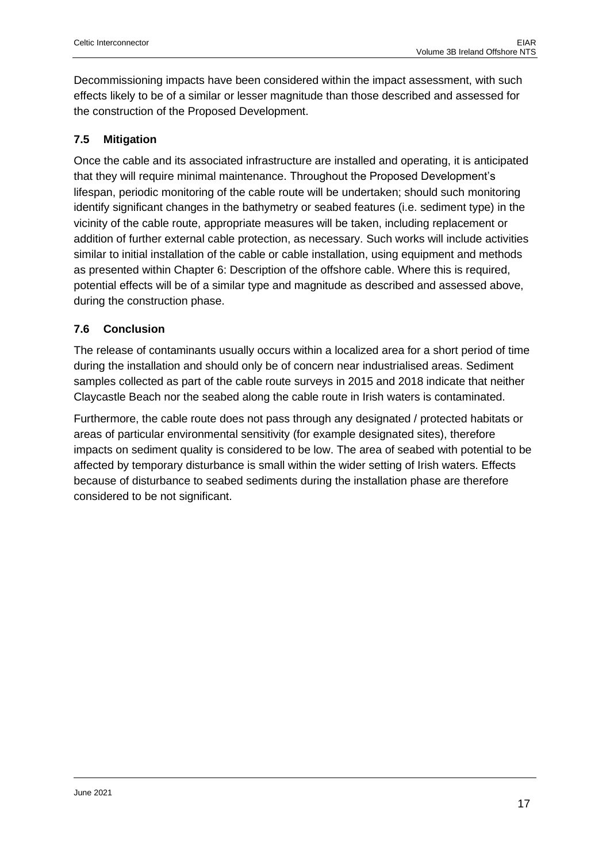Decommissioning impacts have been considered within the impact assessment, with such effects likely to be of a similar or lesser magnitude than those described and assessed for the construction of the Proposed Development.

## <span id="page-16-0"></span>**7.5 Mitigation**

Once the cable and its associated infrastructure are installed and operating, it is anticipated that they will require minimal maintenance. Throughout the Proposed Development's lifespan, periodic monitoring of the cable route will be undertaken; should such monitoring identify significant changes in the bathymetry or seabed features (i.e. sediment type) in the vicinity of the cable route, appropriate measures will be taken, including replacement or addition of further external cable protection, as necessary. Such works will include activities similar to initial installation of the cable or cable installation, using equipment and methods as presented within Chapter 6: Description of the offshore cable. Where this is required, potential effects will be of a similar type and magnitude as described and assessed above, during the construction phase.

## <span id="page-16-1"></span>**7.6 Conclusion**

The release of contaminants usually occurs within a localized area for a short period of time during the installation and should only be of concern near industrialised areas. Sediment samples collected as part of the cable route surveys in 2015 and 2018 indicate that neither Claycastle Beach nor the seabed along the cable route in Irish waters is contaminated.

Furthermore, the cable route does not pass through any designated / protected habitats or areas of particular environmental sensitivity (for example designated sites), therefore impacts on sediment quality is considered to be low. The area of seabed with potential to be affected by temporary disturbance is small within the wider setting of Irish waters. Effects because of disturbance to seabed sediments during the installation phase are therefore considered to be not significant.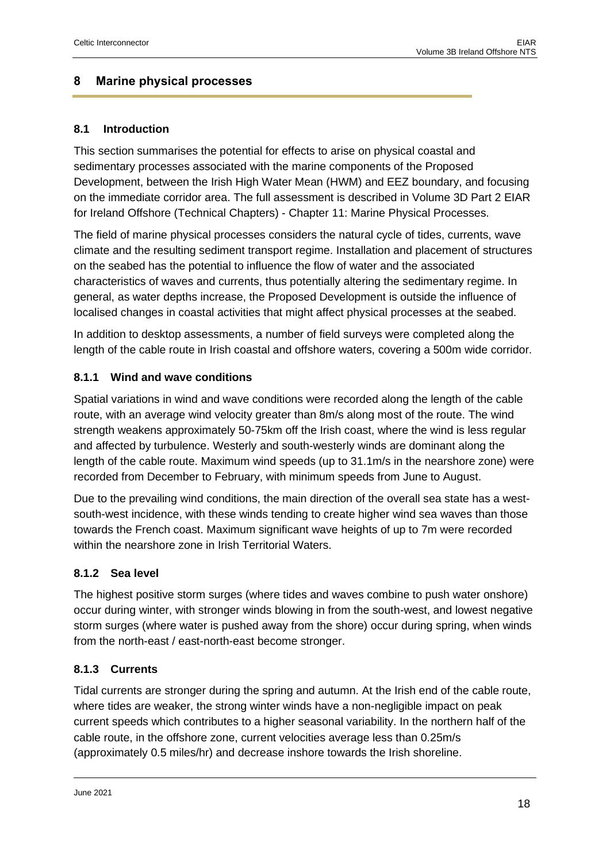## <span id="page-17-0"></span>**8 Marine physical processes**

## <span id="page-17-1"></span>**8.1 Introduction**

This section summarises the potential for effects to arise on physical coastal and sedimentary processes associated with the marine components of the Proposed Development, between the Irish High Water Mean (HWM) and EEZ boundary, and focusing on the immediate corridor area. The full assessment is described in Volume 3D Part 2 EIAR for Ireland Offshore (Technical Chapters) - Chapter 11: Marine Physical Processes.

The field of marine physical processes considers the natural cycle of tides, currents, wave climate and the resulting sediment transport regime. Installation and placement of structures on the seabed has the potential to influence the flow of water and the associated characteristics of waves and currents, thus potentially altering the sedimentary regime. In general, as water depths increase, the Proposed Development is outside the influence of localised changes in coastal activities that might affect physical processes at the seabed.

In addition to desktop assessments, a number of field surveys were completed along the length of the cable route in Irish coastal and offshore waters, covering a 500m wide corridor.

## <span id="page-17-2"></span>**8.1.1 Wind and wave conditions**

Spatial variations in wind and wave conditions were recorded along the length of the cable route, with an average wind velocity greater than 8m/s along most of the route. The wind strength weakens approximately 50-75km off the Irish coast, where the wind is less regular and affected by turbulence. Westerly and south-westerly winds are dominant along the length of the cable route. Maximum wind speeds (up to 31.1m/s in the nearshore zone) were recorded from December to February, with minimum speeds from June to August.

Due to the prevailing wind conditions, the main direction of the overall sea state has a westsouth-west incidence, with these winds tending to create higher wind sea waves than those towards the French coast. Maximum significant wave heights of up to 7m were recorded within the nearshore zone in Irish Territorial Waters.

## <span id="page-17-3"></span>**8.1.2 Sea level**

The highest positive storm surges (where tides and waves combine to push water onshore) occur during winter, with stronger winds blowing in from the south-west, and lowest negative storm surges (where water is pushed away from the shore) occur during spring, when winds from the north-east / east-north-east become stronger.

## <span id="page-17-4"></span>**8.1.3 Currents**

Tidal currents are stronger during the spring and autumn. At the Irish end of the cable route, where tides are weaker, the strong winter winds have a non-negligible impact on peak current speeds which contributes to a higher seasonal variability. In the northern half of the cable route, in the offshore zone, current velocities average less than 0.25m/s (approximately 0.5 miles/hr) and decrease inshore towards the Irish shoreline.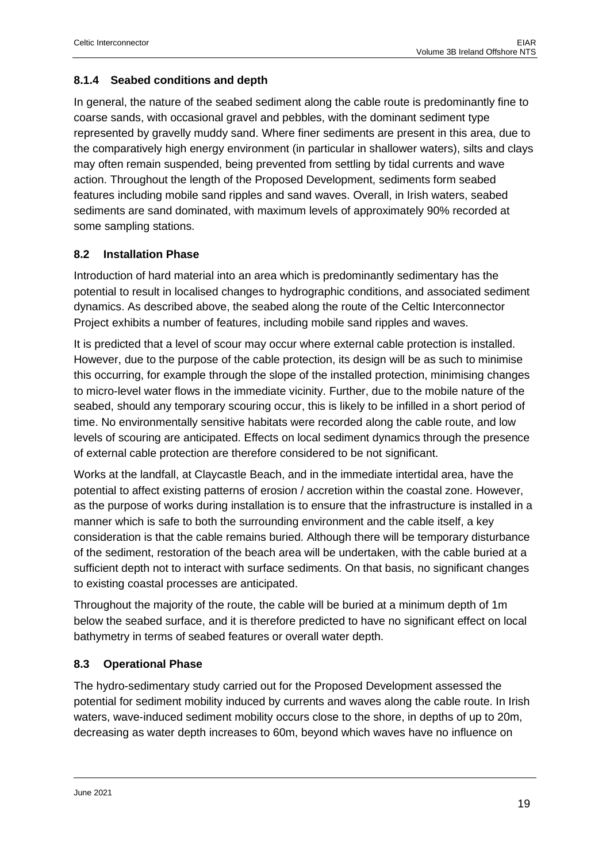## <span id="page-18-0"></span>**8.1.4 Seabed conditions and depth**

In general, the nature of the seabed sediment along the cable route is predominantly fine to coarse sands, with occasional gravel and pebbles, with the dominant sediment type represented by gravelly muddy sand. Where finer sediments are present in this area, due to the comparatively high energy environment (in particular in shallower waters), silts and clays may often remain suspended, being prevented from settling by tidal currents and wave action. Throughout the length of the Proposed Development, sediments form seabed features including mobile sand ripples and sand waves. Overall, in Irish waters, seabed sediments are sand dominated, with maximum levels of approximately 90% recorded at some sampling stations.

## <span id="page-18-1"></span>**8.2 Installation Phase**

Introduction of hard material into an area which is predominantly sedimentary has the potential to result in localised changes to hydrographic conditions, and associated sediment dynamics. As described above, the seabed along the route of the Celtic Interconnector Project exhibits a number of features, including mobile sand ripples and waves.

It is predicted that a level of scour may occur where external cable protection is installed. However, due to the purpose of the cable protection, its design will be as such to minimise this occurring, for example through the slope of the installed protection, minimising changes to micro-level water flows in the immediate vicinity. Further, due to the mobile nature of the seabed, should any temporary scouring occur, this is likely to be infilled in a short period of time. No environmentally sensitive habitats were recorded along the cable route, and low levels of scouring are anticipated. Effects on local sediment dynamics through the presence of external cable protection are therefore considered to be not significant.

Works at the landfall, at Claycastle Beach, and in the immediate intertidal area, have the potential to affect existing patterns of erosion / accretion within the coastal zone. However, as the purpose of works during installation is to ensure that the infrastructure is installed in a manner which is safe to both the surrounding environment and the cable itself, a key consideration is that the cable remains buried. Although there will be temporary disturbance of the sediment, restoration of the beach area will be undertaken, with the cable buried at a sufficient depth not to interact with surface sediments. On that basis, no significant changes to existing coastal processes are anticipated.

Throughout the majority of the route, the cable will be buried at a minimum depth of 1m below the seabed surface, and it is therefore predicted to have no significant effect on local bathymetry in terms of seabed features or overall water depth.

## <span id="page-18-2"></span>**8.3 Operational Phase**

The hydro-sedimentary study carried out for the Proposed Development assessed the potential for sediment mobility induced by currents and waves along the cable route. In Irish waters, wave-induced sediment mobility occurs close to the shore, in depths of up to 20m, decreasing as water depth increases to 60m, beyond which waves have no influence on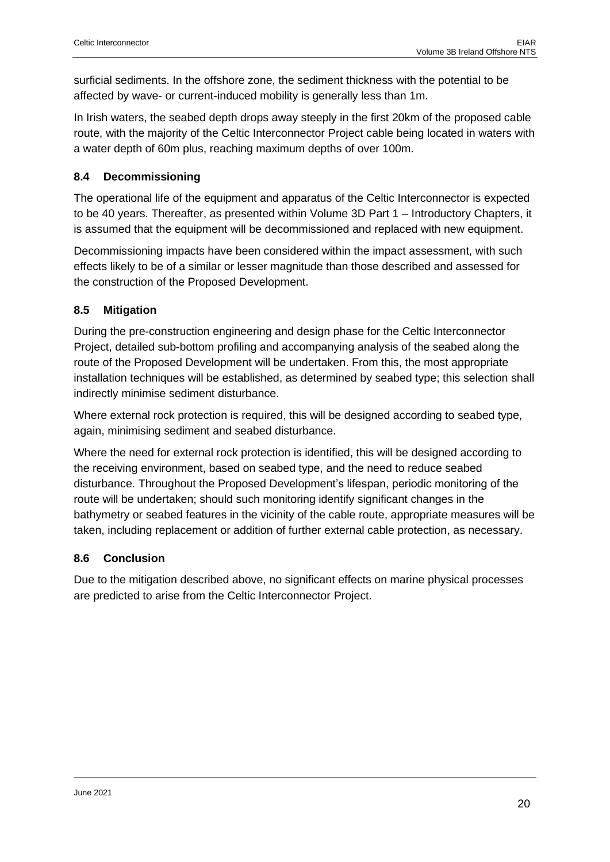surficial sediments. In the offshore zone, the sediment thickness with the potential to be affected by wave- or current-induced mobility is generally less than 1m.

In Irish waters, the seabed depth drops away steeply in the first 20km of the proposed cable route, with the majority of the Celtic Interconnector Project cable being located in waters with a water depth of 60m plus, reaching maximum depths of over 100m.

## <span id="page-19-0"></span>**8.4 Decommissioning**

The operational life of the equipment and apparatus of the Celtic Interconnector is expected to be 40 years. Thereafter, as presented within Volume 3D Part 1 – Introductory Chapters, it is assumed that the equipment will be decommissioned and replaced with new equipment.

Decommissioning impacts have been considered within the impact assessment, with such effects likely to be of a similar or lesser magnitude than those described and assessed for the construction of the Proposed Development.

## <span id="page-19-1"></span>**8.5 Mitigation**

During the pre-construction engineering and design phase for the Celtic Interconnector Project, detailed sub-bottom profiling and accompanying analysis of the seabed along the route of the Proposed Development will be undertaken. From this, the most appropriate installation techniques will be established, as determined by seabed type; this selection shall indirectly minimise sediment disturbance.

Where external rock protection is required, this will be designed according to seabed type, again, minimising sediment and seabed disturbance.

Where the need for external rock protection is identified, this will be designed according to the receiving environment, based on seabed type, and the need to reduce seabed disturbance. Throughout the Proposed Development's lifespan, periodic monitoring of the route will be undertaken; should such monitoring identify significant changes in the bathymetry or seabed features in the vicinity of the cable route, appropriate measures will be taken, including replacement or addition of further external cable protection, as necessary.

## <span id="page-19-2"></span>**8.6 Conclusion**

Due to the mitigation described above, no significant effects on marine physical processes are predicted to arise from the Celtic Interconnector Project.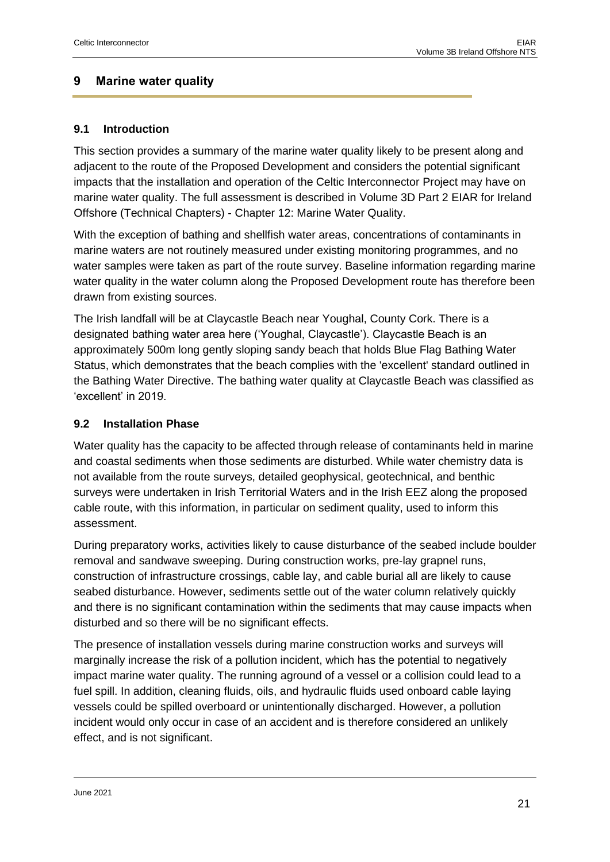## <span id="page-20-0"></span>**9 Marine water quality**

## <span id="page-20-1"></span>**9.1 Introduction**

This section provides a summary of the marine water quality likely to be present along and adjacent to the route of the Proposed Development and considers the potential significant impacts that the installation and operation of the Celtic Interconnector Project may have on marine water quality. The full assessment is described in Volume 3D Part 2 EIAR for Ireland Offshore (Technical Chapters) - Chapter 12: Marine Water Quality.

With the exception of bathing and shellfish water areas, concentrations of contaminants in marine waters are not routinely measured under existing monitoring programmes, and no water samples were taken as part of the route survey. Baseline information regarding marine water quality in the water column along the Proposed Development route has therefore been drawn from existing sources.

The Irish landfall will be at Claycastle Beach near Youghal, County Cork. There is a designated bathing water area here ('Youghal, Claycastle'). Claycastle Beach is an approximately 500m long gently sloping sandy beach that holds Blue Flag Bathing Water Status, which demonstrates that the beach complies with the 'excellent' standard outlined in the Bathing Water Directive. The bathing water quality at Claycastle Beach was classified as 'excellent' in 2019.

## <span id="page-20-2"></span>**9.2 Installation Phase**

Water quality has the capacity to be affected through release of contaminants held in marine and coastal sediments when those sediments are disturbed. While water chemistry data is not available from the route surveys, detailed geophysical, geotechnical, and benthic surveys were undertaken in Irish Territorial Waters and in the Irish EEZ along the proposed cable route, with this information, in particular on sediment quality, used to inform this assessment.

During preparatory works, activities likely to cause disturbance of the seabed include boulder removal and sandwave sweeping. During construction works, pre-lay grapnel runs, construction of infrastructure crossings, cable lay, and cable burial all are likely to cause seabed disturbance. However, sediments settle out of the water column relatively quickly and there is no significant contamination within the sediments that may cause impacts when disturbed and so there will be no significant effects.

The presence of installation vessels during marine construction works and surveys will marginally increase the risk of a pollution incident, which has the potential to negatively impact marine water quality. The running aground of a vessel or a collision could lead to a fuel spill. In addition, cleaning fluids, oils, and hydraulic fluids used onboard cable laying vessels could be spilled overboard or unintentionally discharged. However, a pollution incident would only occur in case of an accident and is therefore considered an unlikely effect, and is not significant.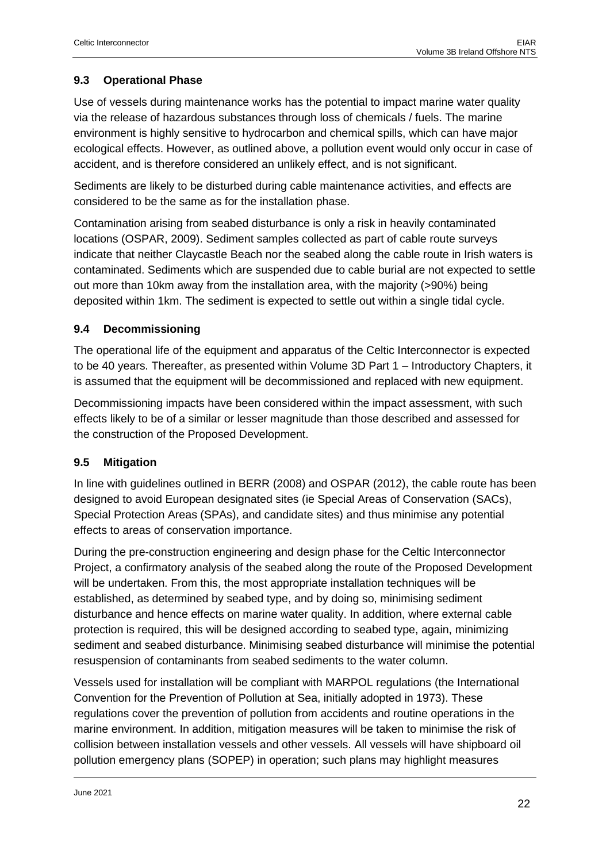## <span id="page-21-0"></span>**9.3 Operational Phase**

Use of vessels during maintenance works has the potential to impact marine water quality via the release of hazardous substances through loss of chemicals / fuels. The marine environment is highly sensitive to hydrocarbon and chemical spills, which can have major ecological effects. However, as outlined above, a pollution event would only occur in case of accident, and is therefore considered an unlikely effect, and is not significant.

Sediments are likely to be disturbed during cable maintenance activities, and effects are considered to be the same as for the installation phase.

Contamination arising from seabed disturbance is only a risk in heavily contaminated locations (OSPAR, 2009). Sediment samples collected as part of cable route surveys indicate that neither Claycastle Beach nor the seabed along the cable route in Irish waters is contaminated. Sediments which are suspended due to cable burial are not expected to settle out more than 10km away from the installation area, with the majority (>90%) being deposited within 1km. The sediment is expected to settle out within a single tidal cycle.

## <span id="page-21-1"></span>**9.4 Decommissioning**

The operational life of the equipment and apparatus of the Celtic Interconnector is expected to be 40 years. Thereafter, as presented within Volume 3D Part 1 – Introductory Chapters, it is assumed that the equipment will be decommissioned and replaced with new equipment.

Decommissioning impacts have been considered within the impact assessment, with such effects likely to be of a similar or lesser magnitude than those described and assessed for the construction of the Proposed Development.

## <span id="page-21-2"></span>**9.5 Mitigation**

In line with guidelines outlined in BERR (2008) and OSPAR (2012), the cable route has been designed to avoid European designated sites (ie Special Areas of Conservation (SACs), Special Protection Areas (SPAs), and candidate sites) and thus minimise any potential effects to areas of conservation importance.

During the pre-construction engineering and design phase for the Celtic Interconnector Project, a confirmatory analysis of the seabed along the route of the Proposed Development will be undertaken. From this, the most appropriate installation techniques will be established, as determined by seabed type, and by doing so, minimising sediment disturbance and hence effects on marine water quality. In addition, where external cable protection is required, this will be designed according to seabed type, again, minimizing sediment and seabed disturbance. Minimising seabed disturbance will minimise the potential resuspension of contaminants from seabed sediments to the water column.

Vessels used for installation will be compliant with MARPOL regulations (the International Convention for the Prevention of Pollution at Sea, initially adopted in 1973). These regulations cover the prevention of pollution from accidents and routine operations in the marine environment. In addition, mitigation measures will be taken to minimise the risk of collision between installation vessels and other vessels. All vessels will have shipboard oil pollution emergency plans (SOPEP) in operation; such plans may highlight measures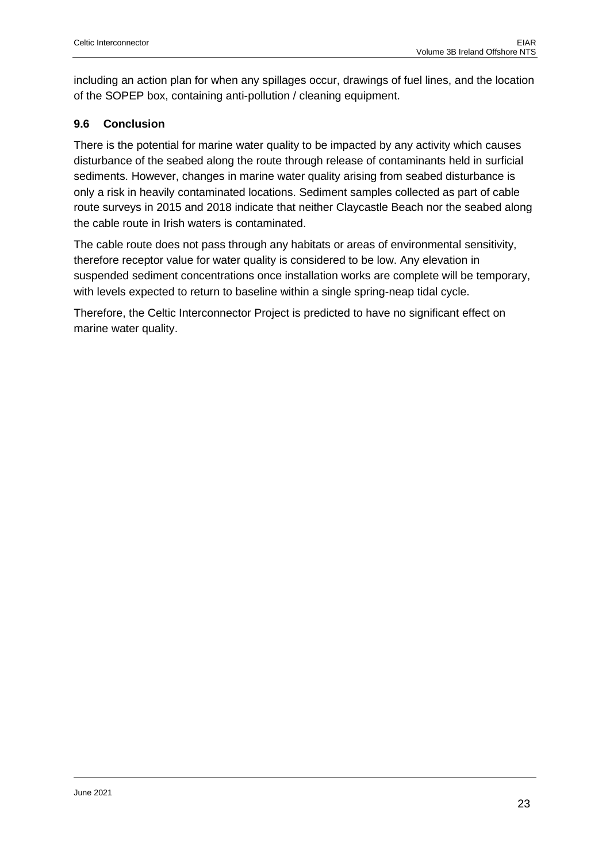including an action plan for when any spillages occur, drawings of fuel lines, and the location of the SOPEP box, containing anti-pollution / cleaning equipment.

## <span id="page-22-0"></span>**9.6 Conclusion**

There is the potential for marine water quality to be impacted by any activity which causes disturbance of the seabed along the route through release of contaminants held in surficial sediments. However, changes in marine water quality arising from seabed disturbance is only a risk in heavily contaminated locations. Sediment samples collected as part of cable route surveys in 2015 and 2018 indicate that neither Claycastle Beach nor the seabed along the cable route in Irish waters is contaminated.

The cable route does not pass through any habitats or areas of environmental sensitivity, therefore receptor value for water quality is considered to be low. Any elevation in suspended sediment concentrations once installation works are complete will be temporary, with levels expected to return to baseline within a single spring-neap tidal cycle.

Therefore, the Celtic Interconnector Project is predicted to have no significant effect on marine water quality.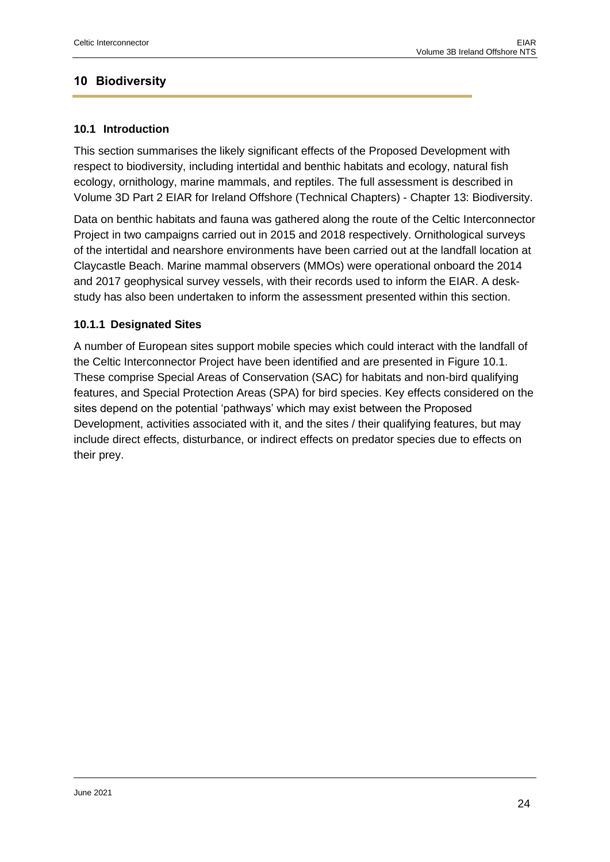## <span id="page-23-0"></span>**10 Biodiversity**

## <span id="page-23-1"></span>**10.1 Introduction**

This section summarises the likely significant effects of the Proposed Development with respect to biodiversity, including intertidal and benthic habitats and ecology, natural fish ecology, ornithology, marine mammals, and reptiles. The full assessment is described in Volume 3D Part 2 EIAR for Ireland Offshore (Technical Chapters) - Chapter 13: Biodiversity.

Data on benthic habitats and fauna was gathered along the route of the Celtic Interconnector Project in two campaigns carried out in 2015 and 2018 respectively. Ornithological surveys of the intertidal and nearshore environments have been carried out at the landfall location at Claycastle Beach. Marine mammal observers (MMOs) were operational onboard the 2014 and 2017 geophysical survey vessels, with their records used to inform the EIAR. A deskstudy has also been undertaken to inform the assessment presented within this section.

## <span id="page-23-2"></span>**10.1.1 Designated Sites**

A number of European sites support mobile species which could interact with the landfall of the Celtic Interconnector Project have been identified and are presented in Figure 10.1. These comprise Special Areas of Conservation (SAC) for habitats and non-bird qualifying features, and Special Protection Areas (SPA) for bird species. Key effects considered on the sites depend on the potential 'pathways' which may exist between the Proposed Development, activities associated with it, and the sites / their qualifying features, but may include direct effects, disturbance, or indirect effects on predator species due to effects on their prey.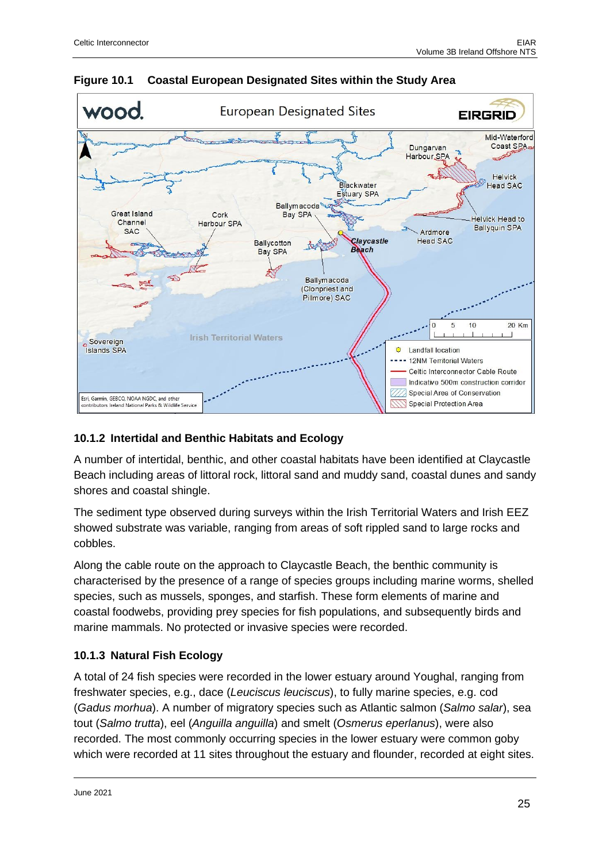

**Figure 10.1 Coastal European Designated Sites within the Study Area**

## <span id="page-24-0"></span>**10.1.2 Intertidal and Benthic Habitats and Ecology**

A number of intertidal, benthic, and other coastal habitats have been identified at Claycastle Beach including areas of littoral rock, littoral sand and muddy sand, coastal dunes and sandy shores and coastal shingle.

The sediment type observed during surveys within the Irish Territorial Waters and Irish EEZ showed substrate was variable, ranging from areas of soft rippled sand to large rocks and cobbles.

Along the cable route on the approach to Claycastle Beach, the benthic community is characterised by the presence of a range of species groups including marine worms, shelled species, such as mussels, sponges, and starfish. These form elements of marine and coastal foodwebs, providing prey species for fish populations, and subsequently birds and marine mammals. No protected or invasive species were recorded.

## <span id="page-24-1"></span>**10.1.3 Natural Fish Ecology**

A total of 24 fish species were recorded in the lower estuary around Youghal, ranging from freshwater species, e.g., dace (*Leuciscus leuciscus*), to fully marine species, e.g. cod (*Gadus morhua*). A number of migratory species such as Atlantic salmon (*Salmo salar*), sea tout (*Salmo trutta*), eel (*Anguilla anguilla*) and smelt (*Osmerus eperlanus*), were also recorded. The most commonly occurring species in the lower estuary were common goby which were recorded at 11 sites throughout the estuary and flounder, recorded at eight sites.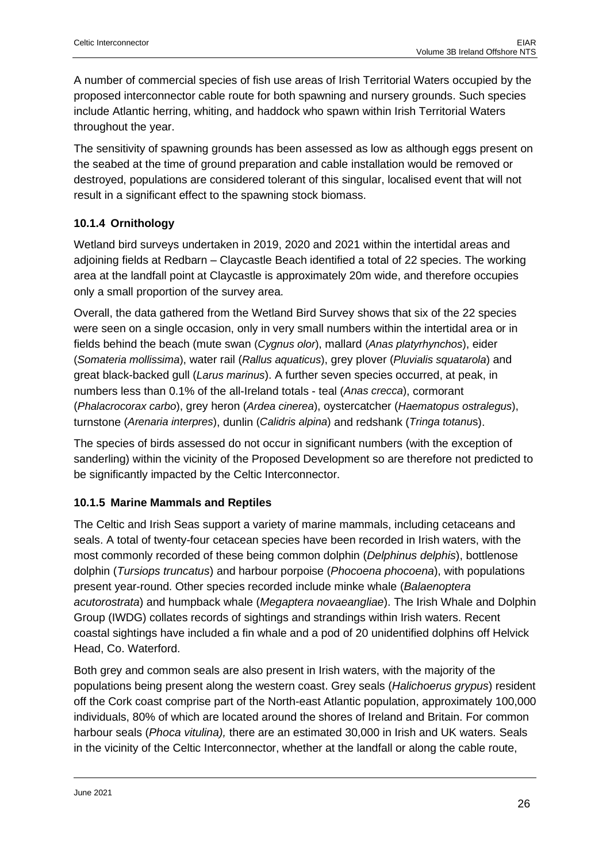A number of commercial species of fish use areas of Irish Territorial Waters occupied by the proposed interconnector cable route for both spawning and nursery grounds. Such species include Atlantic herring, whiting, and haddock who spawn within Irish Territorial Waters throughout the year.

The sensitivity of spawning grounds has been assessed as low as although eggs present on the seabed at the time of ground preparation and cable installation would be removed or destroyed, populations are considered tolerant of this singular, localised event that will not result in a significant effect to the spawning stock biomass.

## <span id="page-25-0"></span>**10.1.4 Ornithology**

Wetland bird surveys undertaken in 2019, 2020 and 2021 within the intertidal areas and adjoining fields at Redbarn – Claycastle Beach identified a total of 22 species. The working area at the landfall point at Claycastle is approximately 20m wide, and therefore occupies only a small proportion of the survey area.

Overall, the data gathered from the Wetland Bird Survey shows that six of the 22 species were seen on a single occasion, only in very small numbers within the intertidal area or in fields behind the beach (mute swan (*Cygnus olor*), mallard (*Anas platyrhynchos*), eider (*Somateria mollissima*), water rail (*Rallus aquaticus*), grey plover (*Pluvialis squatarola*) and great black-backed gull (*Larus marinus*). A further seven species occurred, at peak, in numbers less than 0.1% of the all-Ireland totals - teal (*Anas crecca*), cormorant (*Phalacrocorax carbo*), grey heron (*Ardea cinerea*), oystercatcher (*Haematopus ostralegus*), turnstone (*Arenaria interpres*), dunlin (*Calidris alpina*) and redshank (*Tringa totanu*s).

The species of birds assessed do not occur in significant numbers (with the exception of sanderling) within the vicinity of the Proposed Development so are therefore not predicted to be significantly impacted by the Celtic Interconnector.

#### <span id="page-25-1"></span>**10.1.5 Marine Mammals and Reptiles**

The Celtic and Irish Seas support a variety of marine mammals, including cetaceans and seals. A total of twenty-four cetacean species have been recorded in Irish waters, with the most commonly recorded of these being common dolphin (*Delphinus delphis*), bottlenose dolphin (*Tursiops truncatus*) and harbour porpoise (*Phocoena phocoena*), with populations present year-round. Other species recorded include minke whale (*Balaenoptera acutorostrata*) and humpback whale (*Megaptera novaeangliae*). The Irish Whale and Dolphin Group (IWDG) collates records of sightings and strandings within Irish waters. Recent coastal sightings have included a fin whale and a pod of 20 unidentified dolphins off Helvick Head, Co. Waterford.

Both grey and common seals are also present in Irish waters, with the majority of the populations being present along the western coast. Grey seals (*Halichoerus grypus*) resident off the Cork coast comprise part of the North-east Atlantic population, approximately 100,000 individuals, 80% of which are located around the shores of Ireland and Britain. For common harbour seals (*Phoca vitulina),* there are an estimated 30,000 in Irish and UK waters. Seals in the vicinity of the Celtic Interconnector, whether at the landfall or along the cable route,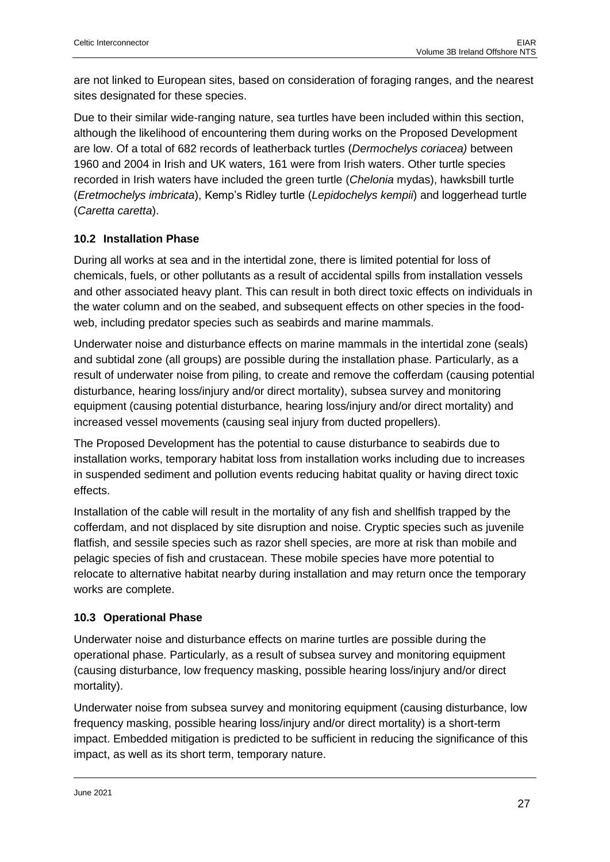are not linked to European sites, based on consideration of foraging ranges, and the nearest sites designated for these species.

Due to their similar wide-ranging nature, sea turtles have been included within this section, although the likelihood of encountering them during works on the Proposed Development are low. Of a total of 682 records of leatherback turtles (*Dermochelys coriacea)* between 1960 and 2004 in Irish and UK waters, 161 were from Irish waters. Other turtle species recorded in Irish waters have included the green turtle (*Chelonia* mydas), hawksbill turtle (*Eretmochelys imbricata*), Kemp's Ridley turtle (*Lepidochelys kempii*) and loggerhead turtle (*Caretta caretta*).

## <span id="page-26-0"></span>**10.2 Installation Phase**

During all works at sea and in the intertidal zone, there is limited potential for loss of chemicals, fuels, or other pollutants as a result of accidental spills from installation vessels and other associated heavy plant. This can result in both direct toxic effects on individuals in the water column and on the seabed, and subsequent effects on other species in the foodweb, including predator species such as seabirds and marine mammals.

Underwater noise and disturbance effects on marine mammals in the intertidal zone (seals) and subtidal zone (all groups) are possible during the installation phase. Particularly, as a result of underwater noise from piling, to create and remove the cofferdam (causing potential disturbance, hearing loss/injury and/or direct mortality), subsea survey and monitoring equipment (causing potential disturbance, hearing loss/injury and/or direct mortality) and increased vessel movements (causing seal injury from ducted propellers).

The Proposed Development has the potential to cause disturbance to seabirds due to installation works, temporary habitat loss from installation works including due to increases in suspended sediment and pollution events reducing habitat quality or having direct toxic effects.

Installation of the cable will result in the mortality of any fish and shellfish trapped by the cofferdam, and not displaced by site disruption and noise. Cryptic species such as juvenile flatfish, and sessile species such as razor shell species, are more at risk than mobile and pelagic species of fish and crustacean. These mobile species have more potential to relocate to alternative habitat nearby during installation and may return once the temporary works are complete.

## <span id="page-26-1"></span>**10.3 Operational Phase**

Underwater noise and disturbance effects on marine turtles are possible during the operational phase. Particularly, as a result of subsea survey and monitoring equipment (causing disturbance, low frequency masking, possible hearing loss/injury and/or direct mortality).

Underwater noise from subsea survey and monitoring equipment (causing disturbance, low frequency masking, possible hearing loss/injury and/or direct mortality) is a short-term impact. Embedded mitigation is predicted to be sufficient in reducing the significance of this impact, as well as its short term, temporary nature.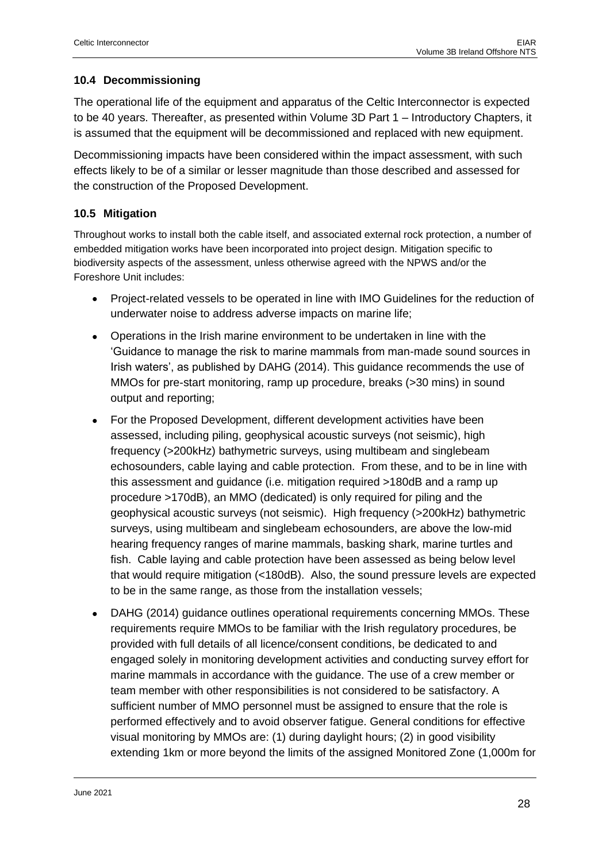## <span id="page-27-0"></span>**10.4 Decommissioning**

The operational life of the equipment and apparatus of the Celtic Interconnector is expected to be 40 years. Thereafter, as presented within Volume 3D Part 1 – Introductory Chapters, it is assumed that the equipment will be decommissioned and replaced with new equipment.

Decommissioning impacts have been considered within the impact assessment, with such effects likely to be of a similar or lesser magnitude than those described and assessed for the construction of the Proposed Development.

## <span id="page-27-1"></span>**10.5 Mitigation**

Throughout works to install both the cable itself, and associated external rock protection, a number of embedded mitigation works have been incorporated into project design. Mitigation specific to biodiversity aspects of the assessment, unless otherwise agreed with the NPWS and/or the Foreshore Unit includes:

- Project-related vessels to be operated in line with IMO Guidelines for the reduction of underwater noise to address adverse impacts on marine life;
- Operations in the Irish marine environment to be undertaken in line with the 'Guidance to manage the risk to marine mammals from man-made sound sources in Irish waters', as published by DAHG (2014). This guidance recommends the use of MMOs for pre-start monitoring, ramp up procedure, breaks (>30 mins) in sound output and reporting;
- For the Proposed Development, different development activities have been assessed, including piling, geophysical acoustic surveys (not seismic), high frequency (>200kHz) bathymetric surveys, using multibeam and singlebeam echosounders, cable laying and cable protection. From these, and to be in line with this assessment and guidance (i.e. mitigation required >180dB and a ramp up procedure >170dB), an MMO (dedicated) is only required for piling and the geophysical acoustic surveys (not seismic). High frequency (>200kHz) bathymetric surveys, using multibeam and singlebeam echosounders, are above the low-mid hearing frequency ranges of marine mammals, basking shark, marine turtles and fish. Cable laying and cable protection have been assessed as being below level that would require mitigation (<180dB). Also, the sound pressure levels are expected to be in the same range, as those from the installation vessels;
- DAHG (2014) guidance outlines operational requirements concerning MMOs. These requirements require MMOs to be familiar with the Irish regulatory procedures, be provided with full details of all licence/consent conditions, be dedicated to and engaged solely in monitoring development activities and conducting survey effort for marine mammals in accordance with the guidance. The use of a crew member or team member with other responsibilities is not considered to be satisfactory. A sufficient number of MMO personnel must be assigned to ensure that the role is performed effectively and to avoid observer fatigue. General conditions for effective visual monitoring by MMOs are: (1) during daylight hours; (2) in good visibility extending 1km or more beyond the limits of the assigned Monitored Zone (1,000m for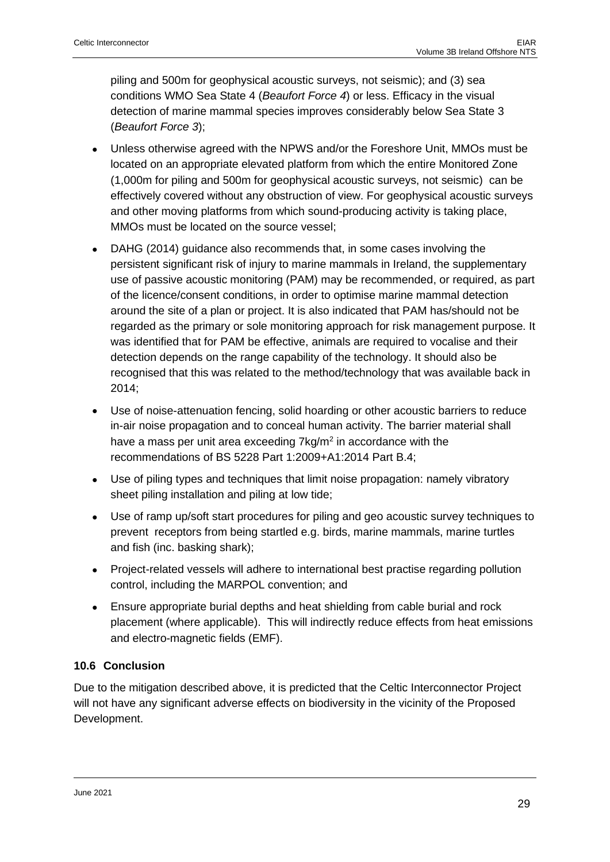piling and 500m for geophysical acoustic surveys, not seismic); and (3) sea conditions WMO Sea State 4 (*Beaufort Force 4*) or less. Efficacy in the visual detection of marine mammal species improves considerably below Sea State 3 (*Beaufort Force 3*);

- Unless otherwise agreed with the NPWS and/or the Foreshore Unit, MMOs must be located on an appropriate elevated platform from which the entire Monitored Zone (1,000m for piling and 500m for geophysical acoustic surveys, not seismic) can be effectively covered without any obstruction of view. For geophysical acoustic surveys and other moving platforms from which sound-producing activity is taking place, MMOs must be located on the source vessel;
- DAHG (2014) guidance also recommends that, in some cases involving the persistent significant risk of injury to marine mammals in Ireland, the supplementary use of passive acoustic monitoring (PAM) may be recommended, or required, as part of the licence/consent conditions, in order to optimise marine mammal detection around the site of a plan or project. It is also indicated that PAM has/should not be regarded as the primary or sole monitoring approach for risk management purpose. It was identified that for PAM be effective, animals are required to vocalise and their detection depends on the range capability of the technology. It should also be recognised that this was related to the method/technology that was available back in 2014;
- Use of noise-attenuation fencing, solid hoarding or other acoustic barriers to reduce in-air noise propagation and to conceal human activity. The barrier material shall have a mass per unit area exceeding  $7$ kg/m<sup>2</sup> in accordance with the recommendations of BS 5228 Part 1:2009+A1:2014 Part B.4;
- Use of piling types and techniques that limit noise propagation: namely vibratory sheet piling installation and piling at low tide;
- Use of ramp up/soft start procedures for piling and geo acoustic survey techniques to prevent receptors from being startled e.g. birds, marine mammals, marine turtles and fish (inc. basking shark);
- Project-related vessels will adhere to international best practise regarding pollution control, including the MARPOL convention; and
- Ensure appropriate burial depths and heat shielding from cable burial and rock placement (where applicable). This will indirectly reduce effects from heat emissions and electro-magnetic fields (EMF).

## <span id="page-28-0"></span>**10.6 Conclusion**

Due to the mitigation described above, it is predicted that the Celtic Interconnector Project will not have any significant adverse effects on biodiversity in the vicinity of the Proposed Development.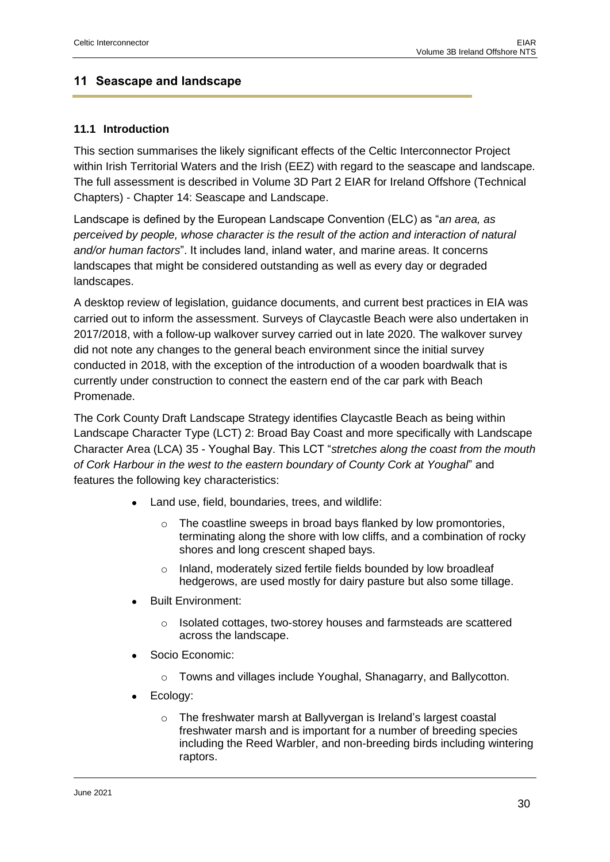## <span id="page-29-0"></span>**11 Seascape and landscape**

## <span id="page-29-1"></span>**11.1 Introduction**

This section summarises the likely significant effects of the Celtic Interconnector Project within Irish Territorial Waters and the Irish (EEZ) with regard to the seascape and landscape. The full assessment is described in Volume 3D Part 2 EIAR for Ireland Offshore (Technical Chapters) - Chapter 14: Seascape and Landscape.

Landscape is defined by the European Landscape Convention (ELC) as "*an area, as perceived by people, whose character is the result of the action and interaction of natural and/or human factors*". It includes land, inland water, and marine areas. It concerns landscapes that might be considered outstanding as well as every day or degraded landscapes.

A desktop review of legislation, guidance documents, and current best practices in EIA was carried out to inform the assessment. Surveys of Claycastle Beach were also undertaken in 2017/2018, with a follow-up walkover survey carried out in late 2020. The walkover survey did not note any changes to the general beach environment since the initial survey conducted in 2018, with the exception of the introduction of a wooden boardwalk that is currently under construction to connect the eastern end of the car park with Beach Promenade.

The Cork County Draft Landscape Strategy identifies Claycastle Beach as being within Landscape Character Type (LCT) 2: Broad Bay Coast and more specifically with Landscape Character Area (LCA) 35 - Youghal Bay. This LCT "*stretches along the coast from the mouth of Cork Harbour in the west to the eastern boundary of County Cork at Youghal*" and features the following key characteristics:

- Land use, field, boundaries, trees, and wildlife:
	- o The coastline sweeps in broad bays flanked by low promontories, terminating along the shore with low cliffs, and a combination of rocky shores and long crescent shaped bays.
	- o Inland, moderately sized fertile fields bounded by low broadleaf hedgerows, are used mostly for dairy pasture but also some tillage.
- Built Environment:
	- Isolated cottages, two-storey houses and farmsteads are scattered across the landscape.
- Socio Economic:
	- o Towns and villages include Youghal, Shanagarry, and Ballycotton.
- Ecology:
	- The freshwater marsh at Ballyvergan is Ireland's largest coastal freshwater marsh and is important for a number of breeding species including the Reed Warbler, and non-breeding birds including wintering raptors.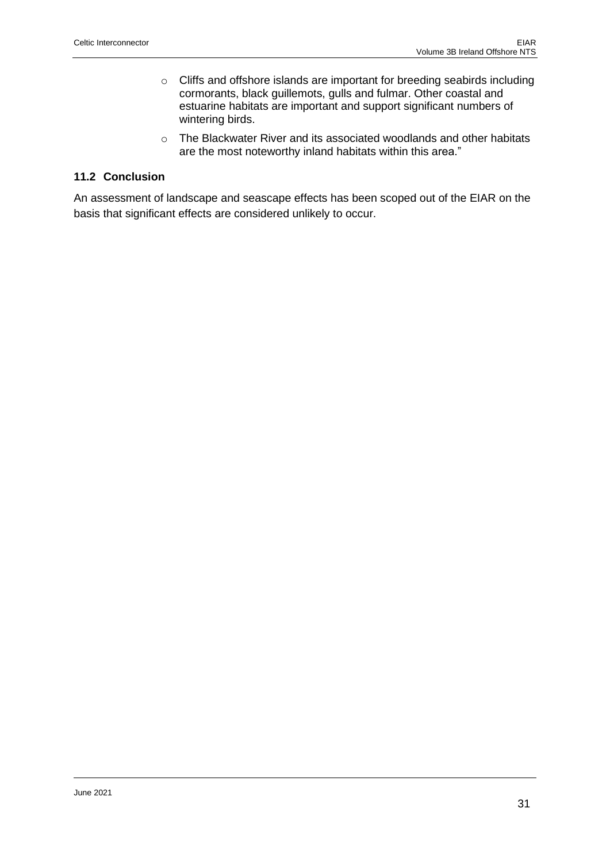- o Cliffs and offshore islands are important for breeding seabirds including cormorants, black guillemots, gulls and fulmar. Other coastal and estuarine habitats are important and support significant numbers of wintering birds.
- o The Blackwater River and its associated woodlands and other habitats are the most noteworthy inland habitats within this area."

## <span id="page-30-0"></span>**11.2 Conclusion**

An assessment of landscape and seascape effects has been scoped out of the EIAR on the basis that significant effects are considered unlikely to occur.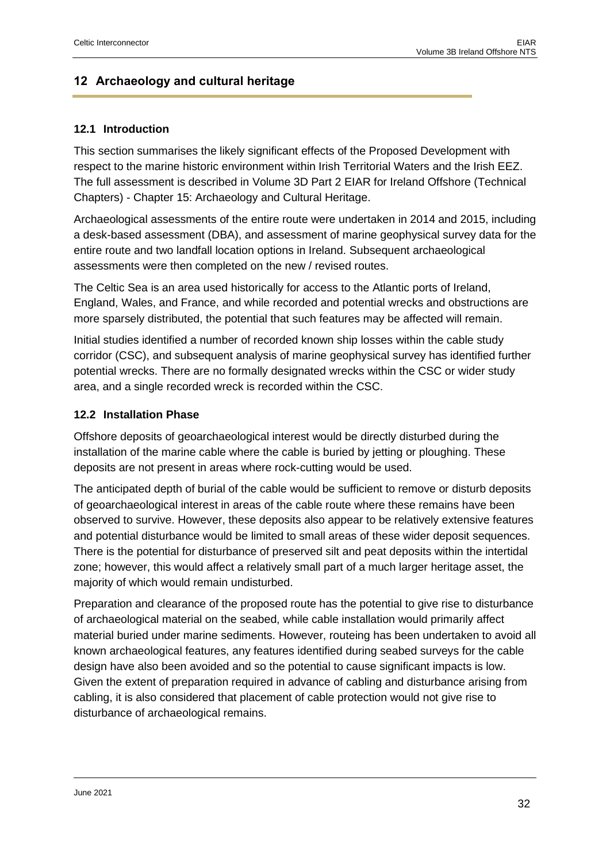## <span id="page-31-0"></span>**12 Archaeology and cultural heritage**

## <span id="page-31-1"></span>**12.1 Introduction**

This section summarises the likely significant effects of the Proposed Development with respect to the marine historic environment within Irish Territorial Waters and the Irish EEZ. The full assessment is described in Volume 3D Part 2 EIAR for Ireland Offshore (Technical Chapters) - Chapter 15: Archaeology and Cultural Heritage.

Archaeological assessments of the entire route were undertaken in 2014 and 2015, including a desk-based assessment (DBA), and assessment of marine geophysical survey data for the entire route and two landfall location options in Ireland. Subsequent archaeological assessments were then completed on the new / revised routes.

The Celtic Sea is an area used historically for access to the Atlantic ports of Ireland, England, Wales, and France, and while recorded and potential wrecks and obstructions are more sparsely distributed, the potential that such features may be affected will remain.

Initial studies identified a number of recorded known ship losses within the cable study corridor (CSC), and subsequent analysis of marine geophysical survey has identified further potential wrecks. There are no formally designated wrecks within the CSC or wider study area, and a single recorded wreck is recorded within the CSC.

## <span id="page-31-2"></span>**12.2 Installation Phase**

Offshore deposits of geoarchaeological interest would be directly disturbed during the installation of the marine cable where the cable is buried by jetting or ploughing. These deposits are not present in areas where rock-cutting would be used.

The anticipated depth of burial of the cable would be sufficient to remove or disturb deposits of geoarchaeological interest in areas of the cable route where these remains have been observed to survive. However, these deposits also appear to be relatively extensive features and potential disturbance would be limited to small areas of these wider deposit sequences. There is the potential for disturbance of preserved silt and peat deposits within the intertidal zone; however, this would affect a relatively small part of a much larger heritage asset, the majority of which would remain undisturbed.

Preparation and clearance of the proposed route has the potential to give rise to disturbance of archaeological material on the seabed, while cable installation would primarily affect material buried under marine sediments. However, routeing has been undertaken to avoid all known archaeological features, any features identified during seabed surveys for the cable design have also been avoided and so the potential to cause significant impacts is low. Given the extent of preparation required in advance of cabling and disturbance arising from cabling, it is also considered that placement of cable protection would not give rise to disturbance of archaeological remains.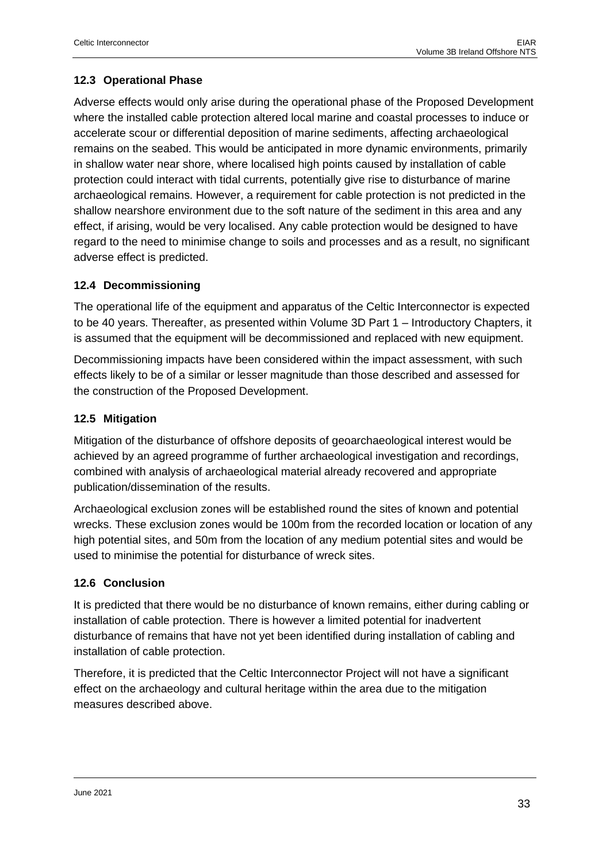## <span id="page-32-0"></span>**12.3 Operational Phase**

Adverse effects would only arise during the operational phase of the Proposed Development where the installed cable protection altered local marine and coastal processes to induce or accelerate scour or differential deposition of marine sediments, affecting archaeological remains on the seabed. This would be anticipated in more dynamic environments, primarily in shallow water near shore, where localised high points caused by installation of cable protection could interact with tidal currents, potentially give rise to disturbance of marine archaeological remains. However, a requirement for cable protection is not predicted in the shallow nearshore environment due to the soft nature of the sediment in this area and any effect, if arising, would be very localised. Any cable protection would be designed to have regard to the need to minimise change to soils and processes and as a result, no significant adverse effect is predicted.

## <span id="page-32-1"></span>**12.4 Decommissioning**

The operational life of the equipment and apparatus of the Celtic Interconnector is expected to be 40 years. Thereafter, as presented within Volume 3D Part 1 – Introductory Chapters, it is assumed that the equipment will be decommissioned and replaced with new equipment.

Decommissioning impacts have been considered within the impact assessment, with such effects likely to be of a similar or lesser magnitude than those described and assessed for the construction of the Proposed Development.

## <span id="page-32-2"></span>**12.5 Mitigation**

Mitigation of the disturbance of offshore deposits of geoarchaeological interest would be achieved by an agreed programme of further archaeological investigation and recordings, combined with analysis of archaeological material already recovered and appropriate publication/dissemination of the results.

Archaeological exclusion zones will be established round the sites of known and potential wrecks. These exclusion zones would be 100m from the recorded location or location of any high potential sites, and 50m from the location of any medium potential sites and would be used to minimise the potential for disturbance of wreck sites.

#### <span id="page-32-3"></span>**12.6 Conclusion**

It is predicted that there would be no disturbance of known remains, either during cabling or installation of cable protection. There is however a limited potential for inadvertent disturbance of remains that have not yet been identified during installation of cabling and installation of cable protection.

Therefore, it is predicted that the Celtic Interconnector Project will not have a significant effect on the archaeology and cultural heritage within the area due to the mitigation measures described above.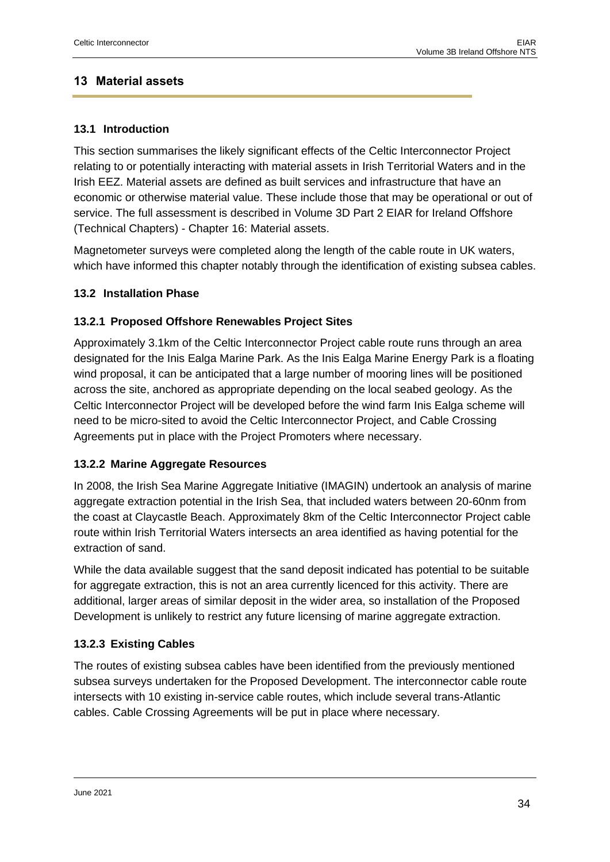## <span id="page-33-0"></span>**13 Material assets**

## <span id="page-33-1"></span>**13.1 Introduction**

This section summarises the likely significant effects of the Celtic Interconnector Project relating to or potentially interacting with material assets in Irish Territorial Waters and in the Irish EEZ. Material assets are defined as built services and infrastructure that have an economic or otherwise material value. These include those that may be operational or out of service. The full assessment is described in Volume 3D Part 2 EIAR for Ireland Offshore (Technical Chapters) - Chapter 16: Material assets.

Magnetometer surveys were completed along the length of the cable route in UK waters, which have informed this chapter notably through the identification of existing subsea cables.

## <span id="page-33-2"></span>**13.2 Installation Phase**

## <span id="page-33-3"></span>**13.2.1 Proposed Offshore Renewables Project Sites**

Approximately 3.1km of the Celtic Interconnector Project cable route runs through an area designated for the Inis Ealga Marine Park. As the Inis Ealga Marine Energy Park is a floating wind proposal, it can be anticipated that a large number of mooring lines will be positioned across the site, anchored as appropriate depending on the local seabed geology. As the Celtic Interconnector Project will be developed before the wind farm Inis Ealga scheme will need to be micro-sited to avoid the Celtic Interconnector Project, and Cable Crossing Agreements put in place with the Project Promoters where necessary.

## <span id="page-33-4"></span>**13.2.2 Marine Aggregate Resources**

In 2008, the Irish Sea Marine Aggregate Initiative (IMAGIN) undertook an analysis of marine aggregate extraction potential in the Irish Sea, that included waters between 20-60nm from the coast at Claycastle Beach. Approximately 8km of the Celtic Interconnector Project cable route within Irish Territorial Waters intersects an area identified as having potential for the extraction of sand.

While the data available suggest that the sand deposit indicated has potential to be suitable for aggregate extraction, this is not an area currently licenced for this activity. There are additional, larger areas of similar deposit in the wider area, so installation of the Proposed Development is unlikely to restrict any future licensing of marine aggregate extraction.

## <span id="page-33-5"></span>**13.2.3 Existing Cables**

The routes of existing subsea cables have been identified from the previously mentioned subsea surveys undertaken for the Proposed Development. The interconnector cable route intersects with 10 existing in-service cable routes, which include several trans-Atlantic cables. Cable Crossing Agreements will be put in place where necessary.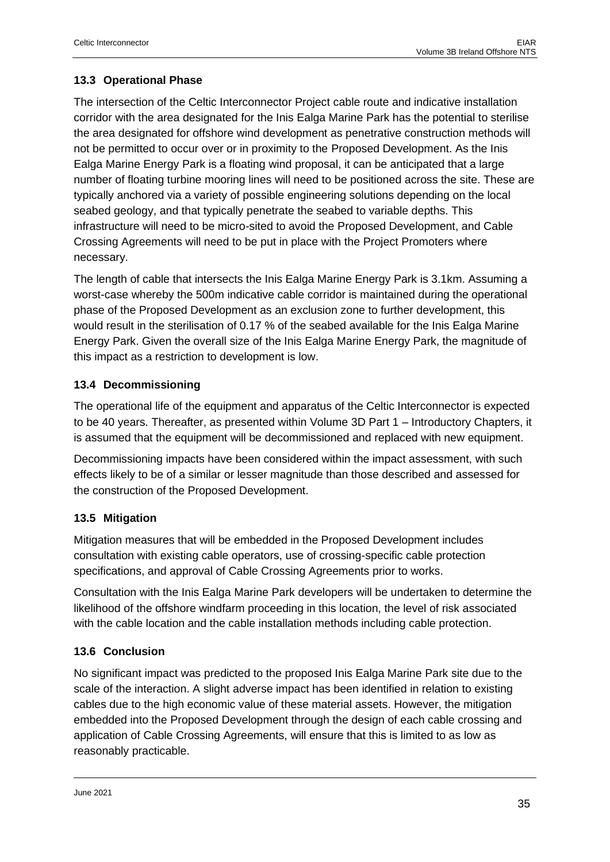## <span id="page-34-0"></span>**13.3 Operational Phase**

The intersection of the Celtic Interconnector Project cable route and indicative installation corridor with the area designated for the Inis Ealga Marine Park has the potential to sterilise the area designated for offshore wind development as penetrative construction methods will not be permitted to occur over or in proximity to the Proposed Development. As the Inis Ealga Marine Energy Park is a floating wind proposal, it can be anticipated that a large number of floating turbine mooring lines will need to be positioned across the site. These are typically anchored via a variety of possible engineering solutions depending on the local seabed geology, and that typically penetrate the seabed to variable depths. This infrastructure will need to be micro-sited to avoid the Proposed Development, and Cable Crossing Agreements will need to be put in place with the Project Promoters where necessary.

The length of cable that intersects the Inis Ealga Marine Energy Park is 3.1km. Assuming a worst-case whereby the 500m indicative cable corridor is maintained during the operational phase of the Proposed Development as an exclusion zone to further development, this would result in the sterilisation of 0.17 % of the seabed available for the Inis Ealga Marine Energy Park. Given the overall size of the Inis Ealga Marine Energy Park, the magnitude of this impact as a restriction to development is low.

## <span id="page-34-1"></span>**13.4 Decommissioning**

The operational life of the equipment and apparatus of the Celtic Interconnector is expected to be 40 years. Thereafter, as presented within Volume 3D Part 1 – Introductory Chapters, it is assumed that the equipment will be decommissioned and replaced with new equipment.

Decommissioning impacts have been considered within the impact assessment, with such effects likely to be of a similar or lesser magnitude than those described and assessed for the construction of the Proposed Development.

## <span id="page-34-2"></span>**13.5 Mitigation**

Mitigation measures that will be embedded in the Proposed Development includes consultation with existing cable operators, use of crossing-specific cable protection specifications, and approval of Cable Crossing Agreements prior to works.

Consultation with the Inis Ealga Marine Park developers will be undertaken to determine the likelihood of the offshore windfarm proceeding in this location, the level of risk associated with the cable location and the cable installation methods including cable protection.

## <span id="page-34-3"></span>**13.6 Conclusion**

No significant impact was predicted to the proposed Inis Ealga Marine Park site due to the scale of the interaction. A slight adverse impact has been identified in relation to existing cables due to the high economic value of these material assets. However, the mitigation embedded into the Proposed Development through the design of each cable crossing and application of Cable Crossing Agreements, will ensure that this is limited to as low as reasonably practicable.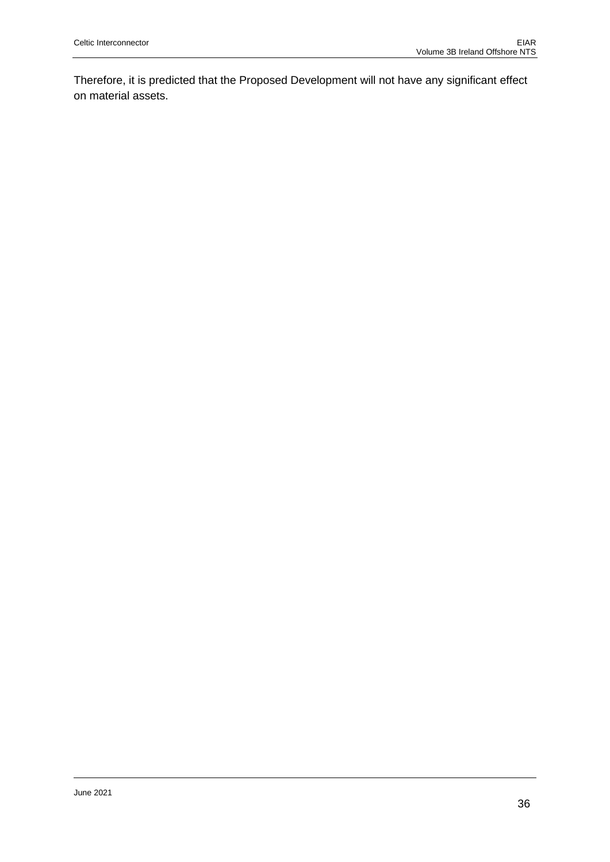Therefore, it is predicted that the Proposed Development will not have any significant effect on material assets.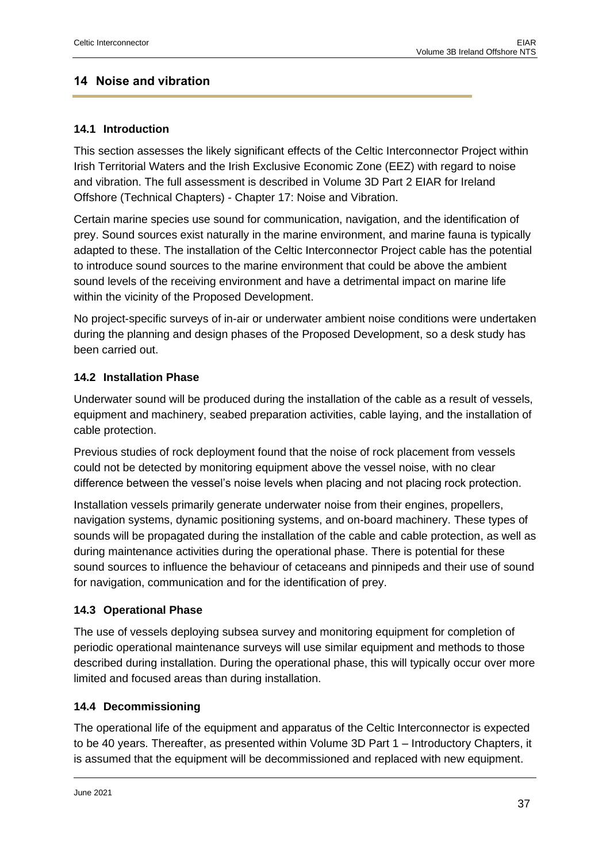## <span id="page-36-0"></span>**14 Noise and vibration**

## <span id="page-36-1"></span>**14.1 Introduction**

This section assesses the likely significant effects of the Celtic Interconnector Project within Irish Territorial Waters and the Irish Exclusive Economic Zone (EEZ) with regard to noise and vibration. The full assessment is described in Volume 3D Part 2 EIAR for Ireland Offshore (Technical Chapters) - Chapter 17: Noise and Vibration.

Certain marine species use sound for communication, navigation, and the identification of prey. Sound sources exist naturally in the marine environment, and marine fauna is typically adapted to these. The installation of the Celtic Interconnector Project cable has the potential to introduce sound sources to the marine environment that could be above the ambient sound levels of the receiving environment and have a detrimental impact on marine life within the vicinity of the Proposed Development.

No project-specific surveys of in-air or underwater ambient noise conditions were undertaken during the planning and design phases of the Proposed Development, so a desk study has been carried out.

## <span id="page-36-2"></span>**14.2 Installation Phase**

Underwater sound will be produced during the installation of the cable as a result of vessels, equipment and machinery, seabed preparation activities, cable laying, and the installation of cable protection.

Previous studies of rock deployment found that the noise of rock placement from vessels could not be detected by monitoring equipment above the vessel noise, with no clear difference between the vessel's noise levels when placing and not placing rock protection.

Installation vessels primarily generate underwater noise from their engines, propellers, navigation systems, dynamic positioning systems, and on-board machinery. These types of sounds will be propagated during the installation of the cable and cable protection, as well as during maintenance activities during the operational phase. There is potential for these sound sources to influence the behaviour of cetaceans and pinnipeds and their use of sound for navigation, communication and for the identification of prey.

## <span id="page-36-3"></span>**14.3 Operational Phase**

The use of vessels deploying subsea survey and monitoring equipment for completion of periodic operational maintenance surveys will use similar equipment and methods to those described during installation. During the operational phase, this will typically occur over more limited and focused areas than during installation.

## <span id="page-36-4"></span>**14.4 Decommissioning**

The operational life of the equipment and apparatus of the Celtic Interconnector is expected to be 40 years. Thereafter, as presented within Volume 3D Part 1 – Introductory Chapters, it is assumed that the equipment will be decommissioned and replaced with new equipment.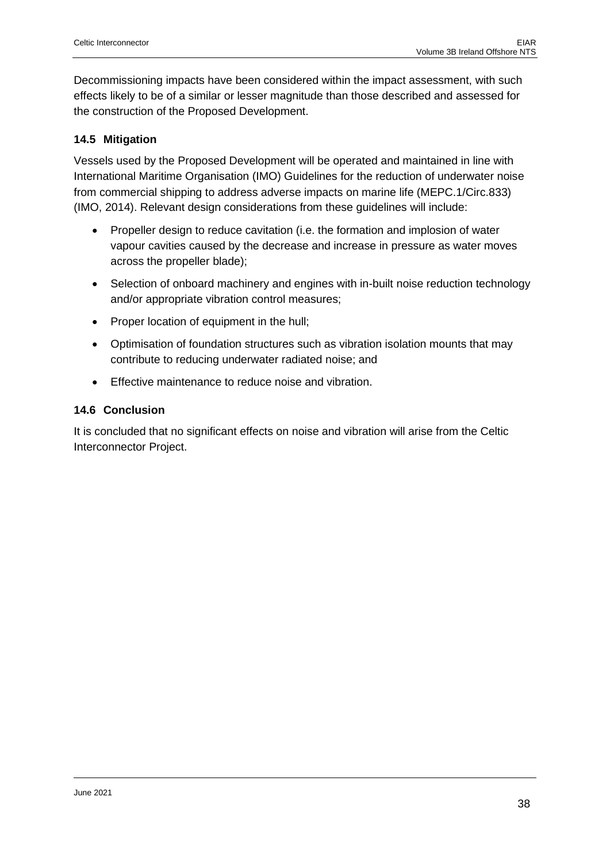Decommissioning impacts have been considered within the impact assessment, with such effects likely to be of a similar or lesser magnitude than those described and assessed for the construction of the Proposed Development.

## <span id="page-37-0"></span>**14.5 Mitigation**

Vessels used by the Proposed Development will be operated and maintained in line with International Maritime Organisation (IMO) Guidelines for the reduction of underwater noise from commercial shipping to address adverse impacts on marine life (MEPC.1/Circ.833) (IMO, 2014). Relevant design considerations from these guidelines will include:

- Propeller design to reduce cavitation (i.e. the formation and implosion of water vapour cavities caused by the decrease and increase in pressure as water moves across the propeller blade);
- Selection of onboard machinery and engines with in-built noise reduction technology and/or appropriate vibration control measures;
- Proper location of equipment in the hull;
- Optimisation of foundation structures such as vibration isolation mounts that may contribute to reducing underwater radiated noise; and
- Effective maintenance to reduce noise and vibration.

#### <span id="page-37-1"></span>**14.6 Conclusion**

It is concluded that no significant effects on noise and vibration will arise from the Celtic Interconnector Project.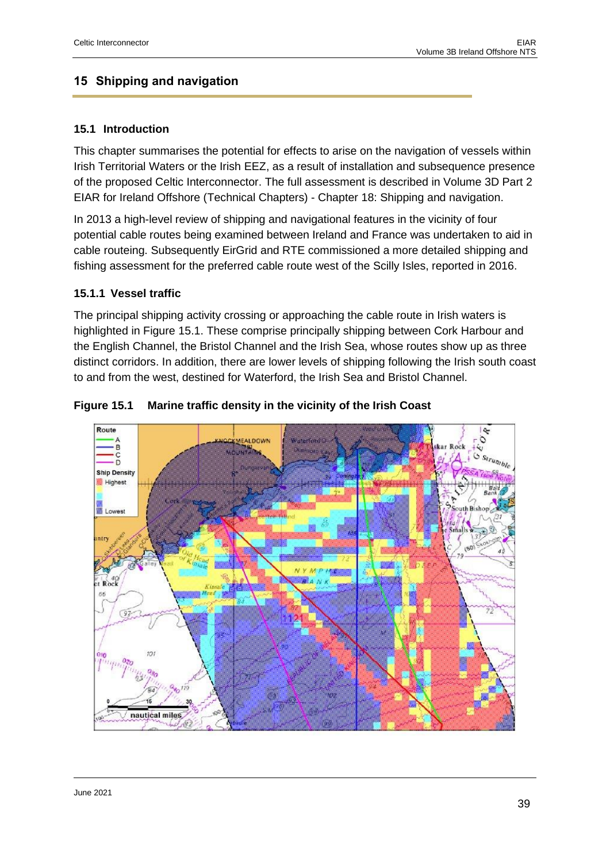## <span id="page-38-0"></span>**15 Shipping and navigation**

#### <span id="page-38-1"></span>**15.1 Introduction**

This chapter summarises the potential for effects to arise on the navigation of vessels within Irish Territorial Waters or the Irish EEZ, as a result of installation and subsequence presence of the proposed Celtic Interconnector. The full assessment is described in Volume 3D Part 2 EIAR for Ireland Offshore (Technical Chapters) - Chapter 18: Shipping and navigation.

In 2013 a high-level review of shipping and navigational features in the vicinity of four potential cable routes being examined between Ireland and France was undertaken to aid in cable routeing. Subsequently EirGrid and RTE commissioned a more detailed shipping and fishing assessment for the preferred cable route west of the Scilly Isles, reported in 2016.

#### <span id="page-38-2"></span>**15.1.1 Vessel traffic**

The principal shipping activity crossing or approaching the cable route in Irish waters is highlighted in Figure 15.1. These comprise principally shipping between Cork Harbour and the English Channel, the Bristol Channel and the Irish Sea, whose routes show up as three distinct corridors. In addition, there are lower levels of shipping following the Irish south coast to and from the west, destined for Waterford, the Irish Sea and Bristol Channel.



#### **Figure 15.1 Marine traffic density in the vicinity of the Irish Coast**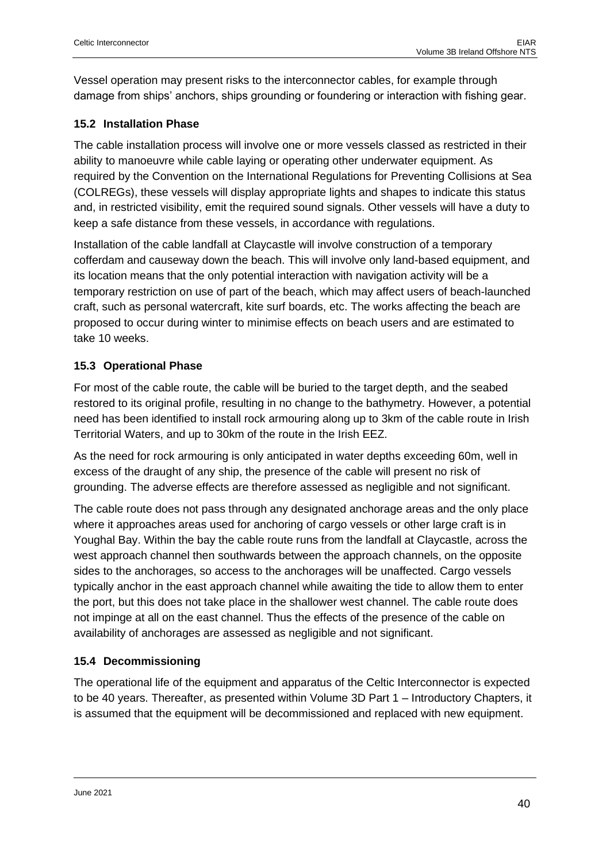Vessel operation may present risks to the interconnector cables, for example through damage from ships' anchors, ships grounding or foundering or interaction with fishing gear.

## <span id="page-39-0"></span>**15.2 Installation Phase**

The cable installation process will involve one or more vessels classed as restricted in their ability to manoeuvre while cable laying or operating other underwater equipment. As required by the Convention on the International Regulations for Preventing Collisions at Sea (COLREGs), these vessels will display appropriate lights and shapes to indicate this status and, in restricted visibility, emit the required sound signals. Other vessels will have a duty to keep a safe distance from these vessels, in accordance with regulations.

Installation of the cable landfall at Claycastle will involve construction of a temporary cofferdam and causeway down the beach. This will involve only land-based equipment, and its location means that the only potential interaction with navigation activity will be a temporary restriction on use of part of the beach, which may affect users of beach-launched craft, such as personal watercraft, kite surf boards, etc. The works affecting the beach are proposed to occur during winter to minimise effects on beach users and are estimated to take 10 weeks.

## <span id="page-39-1"></span>**15.3 Operational Phase**

For most of the cable route, the cable will be buried to the target depth, and the seabed restored to its original profile, resulting in no change to the bathymetry. However, a potential need has been identified to install rock armouring along up to 3km of the cable route in Irish Territorial Waters, and up to 30km of the route in the Irish EEZ.

As the need for rock armouring is only anticipated in water depths exceeding 60m, well in excess of the draught of any ship, the presence of the cable will present no risk of grounding. The adverse effects are therefore assessed as negligible and not significant.

The cable route does not pass through any designated anchorage areas and the only place where it approaches areas used for anchoring of cargo vessels or other large craft is in Youghal Bay. Within the bay the cable route runs from the landfall at Claycastle, across the west approach channel then southwards between the approach channels, on the opposite sides to the anchorages, so access to the anchorages will be unaffected. Cargo vessels typically anchor in the east approach channel while awaiting the tide to allow them to enter the port, but this does not take place in the shallower west channel. The cable route does not impinge at all on the east channel. Thus the effects of the presence of the cable on availability of anchorages are assessed as negligible and not significant.

## <span id="page-39-2"></span>**15.4 Decommissioning**

The operational life of the equipment and apparatus of the Celtic Interconnector is expected to be 40 years. Thereafter, as presented within Volume 3D Part 1 – Introductory Chapters, it is assumed that the equipment will be decommissioned and replaced with new equipment.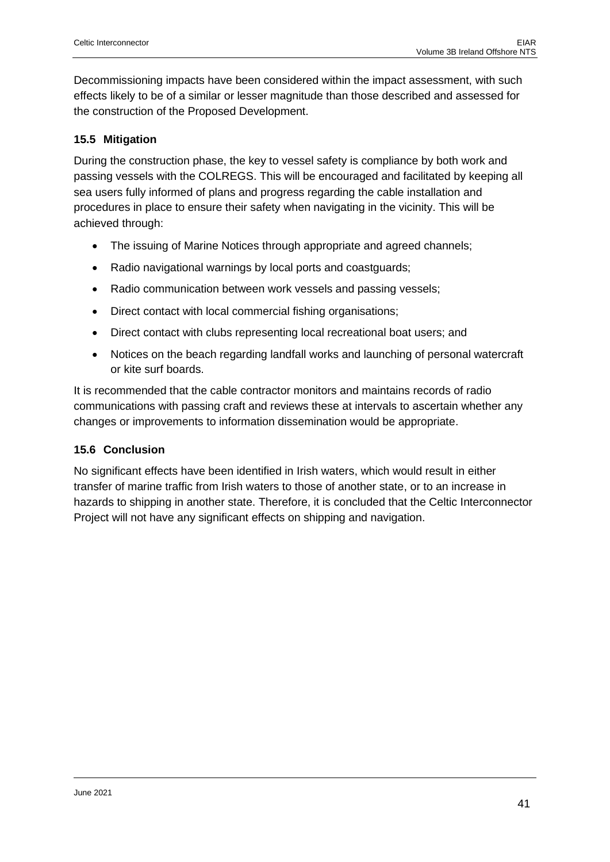Decommissioning impacts have been considered within the impact assessment, with such effects likely to be of a similar or lesser magnitude than those described and assessed for the construction of the Proposed Development.

## <span id="page-40-0"></span>**15.5 Mitigation**

During the construction phase, the key to vessel safety is compliance by both work and passing vessels with the COLREGS. This will be encouraged and facilitated by keeping all sea users fully informed of plans and progress regarding the cable installation and procedures in place to ensure their safety when navigating in the vicinity. This will be achieved through:

- The issuing of Marine Notices through appropriate and agreed channels;
- Radio navigational warnings by local ports and coastguards;
- Radio communication between work vessels and passing vessels;
- Direct contact with local commercial fishing organisations;
- Direct contact with clubs representing local recreational boat users; and
- Notices on the beach regarding landfall works and launching of personal watercraft or kite surf boards.

It is recommended that the cable contractor monitors and maintains records of radio communications with passing craft and reviews these at intervals to ascertain whether any changes or improvements to information dissemination would be appropriate.

#### <span id="page-40-1"></span>**15.6 Conclusion**

No significant effects have been identified in Irish waters, which would result in either transfer of marine traffic from Irish waters to those of another state, or to an increase in hazards to shipping in another state. Therefore, it is concluded that the Celtic Interconnector Project will not have any significant effects on shipping and navigation.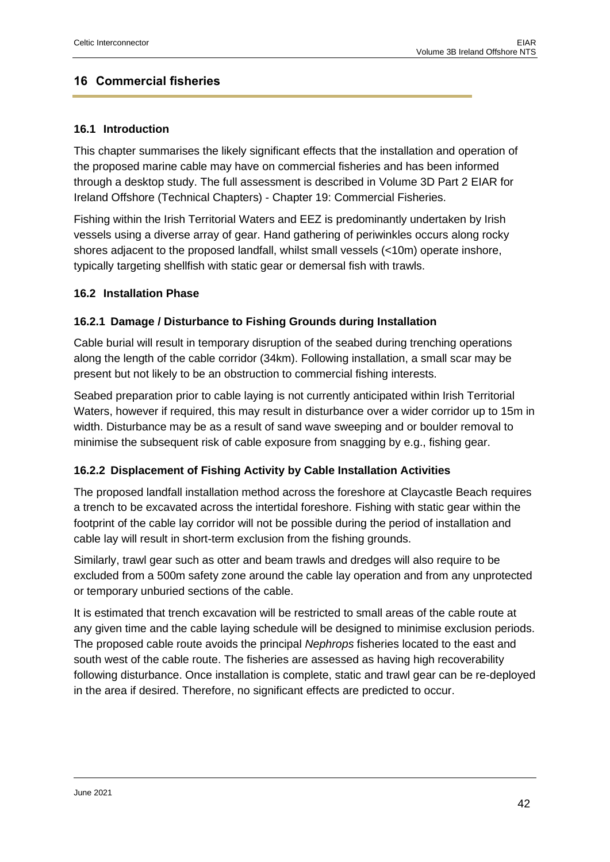## <span id="page-41-0"></span>**16 Commercial fisheries**

## <span id="page-41-1"></span>**16.1 Introduction**

This chapter summarises the likely significant effects that the installation and operation of the proposed marine cable may have on commercial fisheries and has been informed through a desktop study. The full assessment is described in Volume 3D Part 2 EIAR for Ireland Offshore (Technical Chapters) - Chapter 19: Commercial Fisheries.

Fishing within the Irish Territorial Waters and EEZ is predominantly undertaken by Irish vessels using a diverse array of gear. Hand gathering of periwinkles occurs along rocky shores adjacent to the proposed landfall, whilst small vessels (<10m) operate inshore, typically targeting shellfish with static gear or demersal fish with trawls.

#### <span id="page-41-2"></span>**16.2 Installation Phase**

## <span id="page-41-3"></span>**16.2.1 Damage / Disturbance to Fishing Grounds during Installation**

Cable burial will result in temporary disruption of the seabed during trenching operations along the length of the cable corridor (34km). Following installation, a small scar may be present but not likely to be an obstruction to commercial fishing interests.

Seabed preparation prior to cable laying is not currently anticipated within Irish Territorial Waters, however if required, this may result in disturbance over a wider corridor up to 15m in width. Disturbance may be as a result of sand wave sweeping and or boulder removal to minimise the subsequent risk of cable exposure from snagging by e.g., fishing gear.

## <span id="page-41-4"></span>**16.2.2 Displacement of Fishing Activity by Cable Installation Activities**

The proposed landfall installation method across the foreshore at Claycastle Beach requires a trench to be excavated across the intertidal foreshore. Fishing with static gear within the footprint of the cable lay corridor will not be possible during the period of installation and cable lay will result in short-term exclusion from the fishing grounds.

Similarly, trawl gear such as otter and beam trawls and dredges will also require to be excluded from a 500m safety zone around the cable lay operation and from any unprotected or temporary unburied sections of the cable.

It is estimated that trench excavation will be restricted to small areas of the cable route at any given time and the cable laying schedule will be designed to minimise exclusion periods. The proposed cable route avoids the principal *Nephrops* fisheries located to the east and south west of the cable route. The fisheries are assessed as having high recoverability following disturbance. Once installation is complete, static and trawl gear can be re-deployed in the area if desired. Therefore, no significant effects are predicted to occur.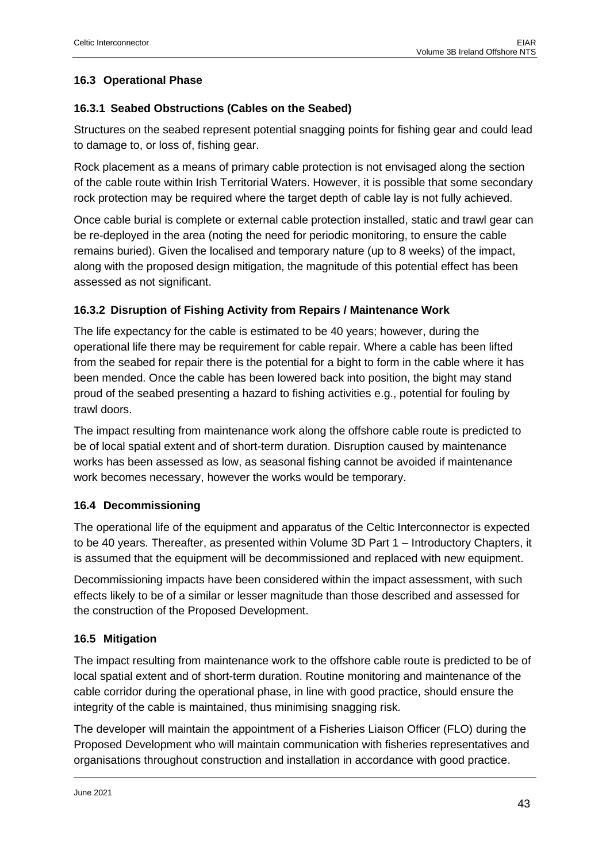## <span id="page-42-0"></span>**16.3 Operational Phase**

## <span id="page-42-1"></span>**16.3.1 Seabed Obstructions (Cables on the Seabed)**

Structures on the seabed represent potential snagging points for fishing gear and could lead to damage to, or loss of, fishing gear.

Rock placement as a means of primary cable protection is not envisaged along the section of the cable route within Irish Territorial Waters. However, it is possible that some secondary rock protection may be required where the target depth of cable lay is not fully achieved.

Once cable burial is complete or external cable protection installed, static and trawl gear can be re-deployed in the area (noting the need for periodic monitoring, to ensure the cable remains buried). Given the localised and temporary nature (up to 8 weeks) of the impact, along with the proposed design mitigation, the magnitude of this potential effect has been assessed as not significant.

## <span id="page-42-2"></span>**16.3.2 Disruption of Fishing Activity from Repairs / Maintenance Work**

The life expectancy for the cable is estimated to be 40 years; however, during the operational life there may be requirement for cable repair. Where a cable has been lifted from the seabed for repair there is the potential for a bight to form in the cable where it has been mended. Once the cable has been lowered back into position, the bight may stand proud of the seabed presenting a hazard to fishing activities e.g., potential for fouling by trawl doors.

The impact resulting from maintenance work along the offshore cable route is predicted to be of local spatial extent and of short-term duration. Disruption caused by maintenance works has been assessed as low, as seasonal fishing cannot be avoided if maintenance work becomes necessary, however the works would be temporary.

## <span id="page-42-3"></span>**16.4 Decommissioning**

The operational life of the equipment and apparatus of the Celtic Interconnector is expected to be 40 years. Thereafter, as presented within Volume 3D Part 1 – Introductory Chapters, it is assumed that the equipment will be decommissioned and replaced with new equipment.

Decommissioning impacts have been considered within the impact assessment, with such effects likely to be of a similar or lesser magnitude than those described and assessed for the construction of the Proposed Development.

## <span id="page-42-4"></span>**16.5 Mitigation**

The impact resulting from maintenance work to the offshore cable route is predicted to be of local spatial extent and of short-term duration. Routine monitoring and maintenance of the cable corridor during the operational phase, in line with good practice, should ensure the integrity of the cable is maintained, thus minimising snagging risk.

The developer will maintain the appointment of a Fisheries Liaison Officer (FLO) during the Proposed Development who will maintain communication with fisheries representatives and organisations throughout construction and installation in accordance with good practice.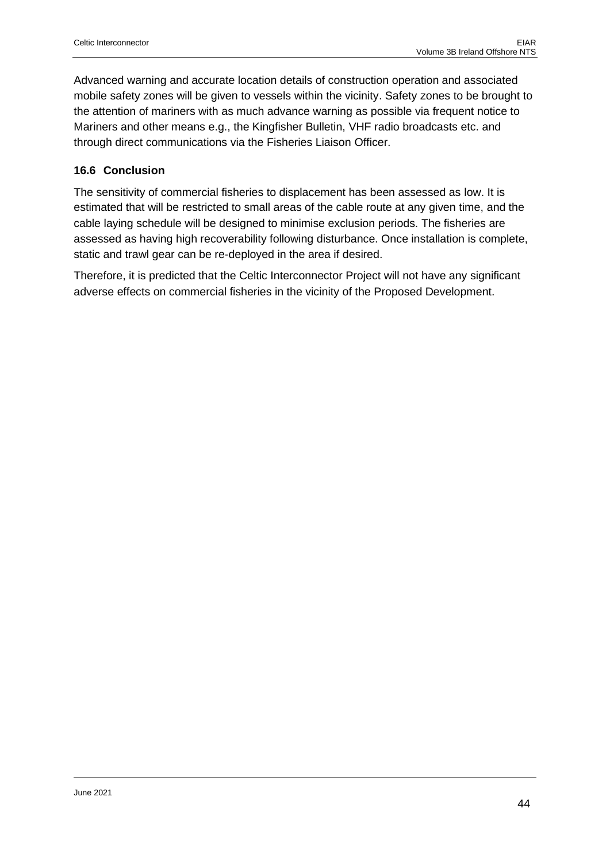Advanced warning and accurate location details of construction operation and associated mobile safety zones will be given to vessels within the vicinity. Safety zones to be brought to the attention of mariners with as much advance warning as possible via frequent notice to Mariners and other means e.g., the Kingfisher Bulletin, VHF radio broadcasts etc. and through direct communications via the Fisheries Liaison Officer.

## <span id="page-43-0"></span>**16.6 Conclusion**

The sensitivity of commercial fisheries to displacement has been assessed as low. It is estimated that will be restricted to small areas of the cable route at any given time, and the cable laying schedule will be designed to minimise exclusion periods. The fisheries are assessed as having high recoverability following disturbance. Once installation is complete, static and trawl gear can be re-deployed in the area if desired.

Therefore, it is predicted that the Celtic Interconnector Project will not have any significant adverse effects on commercial fisheries in the vicinity of the Proposed Development.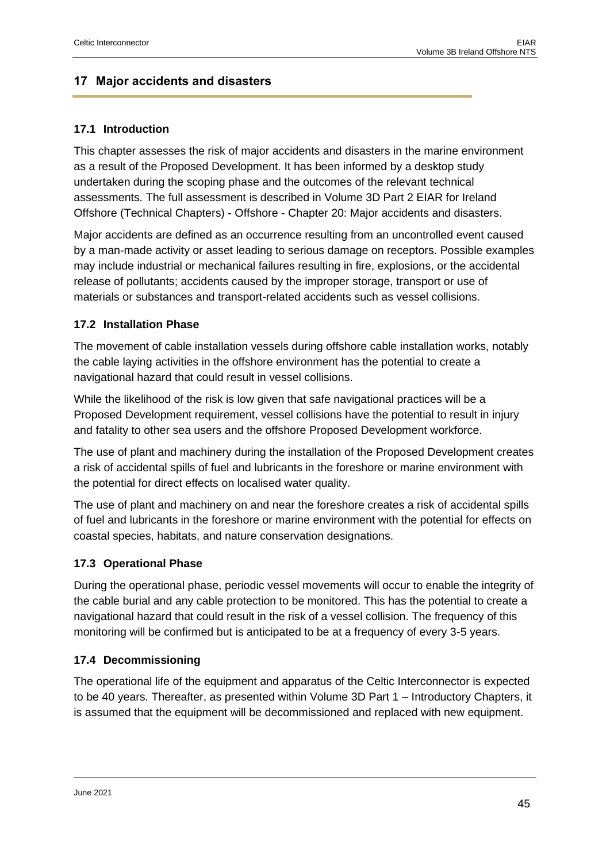## <span id="page-44-0"></span>**17 Major accidents and disasters**

## <span id="page-44-1"></span>**17.1 Introduction**

This chapter assesses the risk of major accidents and disasters in the marine environment as a result of the Proposed Development. It has been informed by a desktop study undertaken during the scoping phase and the outcomes of the relevant technical assessments. The full assessment is described in Volume 3D Part 2 EIAR for Ireland Offshore (Technical Chapters) - Offshore - Chapter 20: Major accidents and disasters.

Major accidents are defined as an occurrence resulting from an uncontrolled event caused by a man-made activity or asset leading to serious damage on receptors. Possible examples may include industrial or mechanical failures resulting in fire, explosions, or the accidental release of pollutants; accidents caused by the improper storage, transport or use of materials or substances and transport-related accidents such as vessel collisions.

## <span id="page-44-2"></span>**17.2 Installation Phase**

The movement of cable installation vessels during offshore cable installation works, notably the cable laying activities in the offshore environment has the potential to create a navigational hazard that could result in vessel collisions.

While the likelihood of the risk is low given that safe navigational practices will be a Proposed Development requirement, vessel collisions have the potential to result in injury and fatality to other sea users and the offshore Proposed Development workforce.

The use of plant and machinery during the installation of the Proposed Development creates a risk of accidental spills of fuel and lubricants in the foreshore or marine environment with the potential for direct effects on localised water quality.

The use of plant and machinery on and near the foreshore creates a risk of accidental spills of fuel and lubricants in the foreshore or marine environment with the potential for effects on coastal species, habitats, and nature conservation designations.

## <span id="page-44-3"></span>**17.3 Operational Phase**

During the operational phase, periodic vessel movements will occur to enable the integrity of the cable burial and any cable protection to be monitored. This has the potential to create a navigational hazard that could result in the risk of a vessel collision. The frequency of this monitoring will be confirmed but is anticipated to be at a frequency of every 3-5 years.

## <span id="page-44-4"></span>**17.4 Decommissioning**

The operational life of the equipment and apparatus of the Celtic Interconnector is expected to be 40 years. Thereafter, as presented within Volume 3D Part 1 – Introductory Chapters, it is assumed that the equipment will be decommissioned and replaced with new equipment.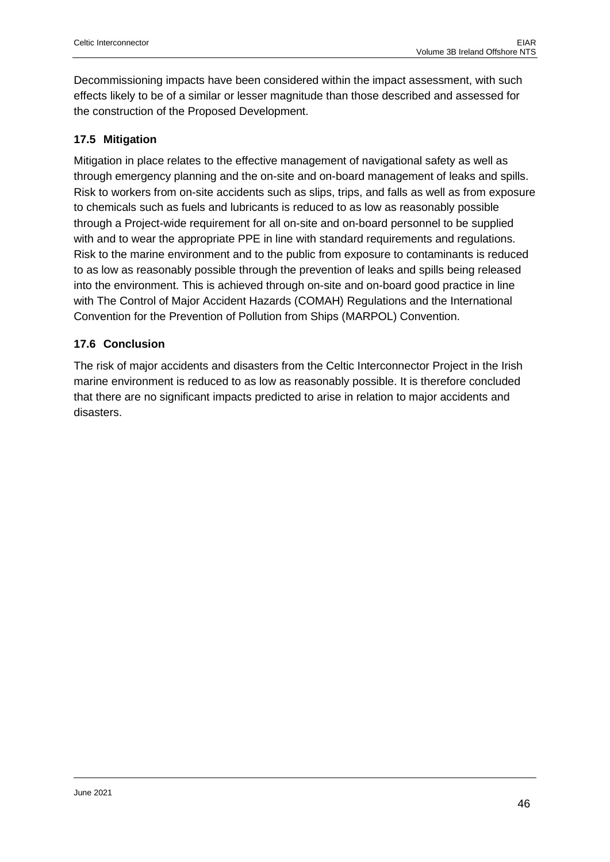Decommissioning impacts have been considered within the impact assessment, with such effects likely to be of a similar or lesser magnitude than those described and assessed for the construction of the Proposed Development.

## <span id="page-45-0"></span>**17.5 Mitigation**

Mitigation in place relates to the effective management of navigational safety as well as through emergency planning and the on-site and on-board management of leaks and spills. Risk to workers from on-site accidents such as slips, trips, and falls as well as from exposure to chemicals such as fuels and lubricants is reduced to as low as reasonably possible through a Project-wide requirement for all on-site and on-board personnel to be supplied with and to wear the appropriate PPE in line with standard requirements and regulations. Risk to the marine environment and to the public from exposure to contaminants is reduced to as low as reasonably possible through the prevention of leaks and spills being released into the environment. This is achieved through on-site and on-board good practice in line with The Control of Major Accident Hazards (COMAH) Regulations and the International Convention for the Prevention of Pollution from Ships (MARPOL) Convention.

## <span id="page-45-1"></span>**17.6 Conclusion**

The risk of major accidents and disasters from the Celtic Interconnector Project in the Irish marine environment is reduced to as low as reasonably possible. It is therefore concluded that there are no significant impacts predicted to arise in relation to major accidents and disasters.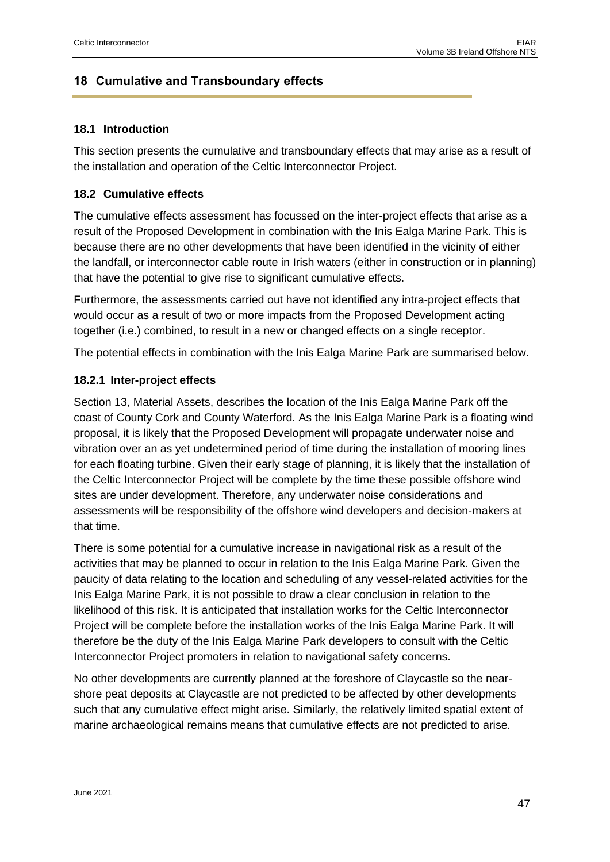## <span id="page-46-0"></span>**18 Cumulative and Transboundary effects**

#### <span id="page-46-1"></span>**18.1 Introduction**

This section presents the cumulative and transboundary effects that may arise as a result of the installation and operation of the Celtic Interconnector Project.

## <span id="page-46-2"></span>**18.2 Cumulative effects**

The cumulative effects assessment has focussed on the inter-project effects that arise as a result of the Proposed Development in combination with the Inis Ealga Marine Park. This is because there are no other developments that have been identified in the vicinity of either the landfall, or interconnector cable route in Irish waters (either in construction or in planning) that have the potential to give rise to significant cumulative effects.

Furthermore, the assessments carried out have not identified any intra-project effects that would occur as a result of two or more impacts from the Proposed Development acting together (i.e.) combined, to result in a new or changed effects on a single receptor.

The potential effects in combination with the Inis Ealga Marine Park are summarised below.

## <span id="page-46-3"></span>**18.2.1 Inter-project effects**

Section 13, Material Assets, describes the location of the Inis Ealga Marine Park off the coast of County Cork and County Waterford. As the Inis Ealga Marine Park is a floating wind proposal, it is likely that the Proposed Development will propagate underwater noise and vibration over an as yet undetermined period of time during the installation of mooring lines for each floating turbine. Given their early stage of planning, it is likely that the installation of the Celtic Interconnector Project will be complete by the time these possible offshore wind sites are under development. Therefore, any underwater noise considerations and assessments will be responsibility of the offshore wind developers and decision-makers at that time.

There is some potential for a cumulative increase in navigational risk as a result of the activities that may be planned to occur in relation to the Inis Ealga Marine Park. Given the paucity of data relating to the location and scheduling of any vessel-related activities for the Inis Ealga Marine Park, it is not possible to draw a clear conclusion in relation to the likelihood of this risk. It is anticipated that installation works for the Celtic Interconnector Project will be complete before the installation works of the Inis Ealga Marine Park. It will therefore be the duty of the Inis Ealga Marine Park developers to consult with the Celtic Interconnector Project promoters in relation to navigational safety concerns.

No other developments are currently planned at the foreshore of Claycastle so the nearshore peat deposits at Claycastle are not predicted to be affected by other developments such that any cumulative effect might arise. Similarly, the relatively limited spatial extent of marine archaeological remains means that cumulative effects are not predicted to arise.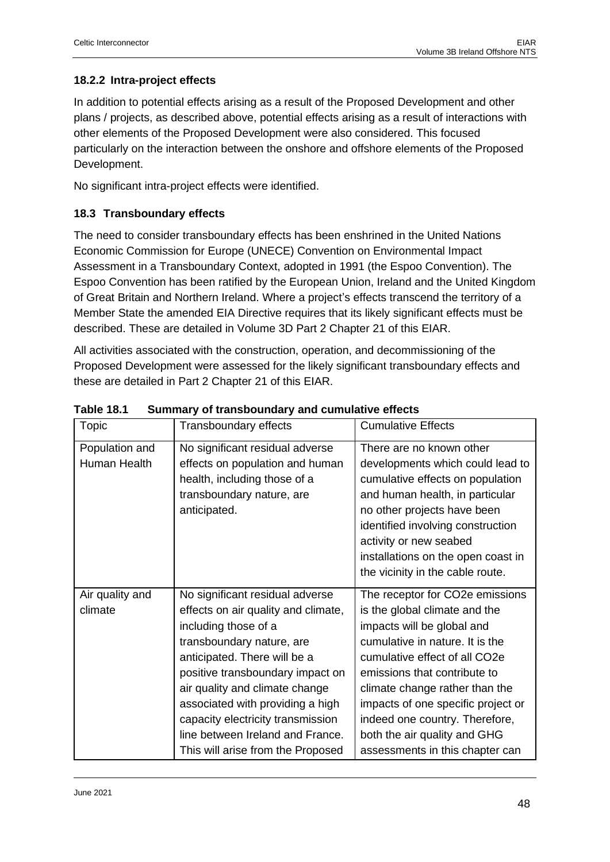## <span id="page-47-0"></span>**18.2.2 Intra-project effects**

In addition to potential effects arising as a result of the Proposed Development and other plans / projects, as described above, potential effects arising as a result of interactions with other elements of the Proposed Development were also considered. This focused particularly on the interaction between the onshore and offshore elements of the Proposed Development.

No significant intra-project effects were identified.

## <span id="page-47-1"></span>**18.3 Transboundary effects**

The need to consider transboundary effects has been enshrined in the United Nations Economic Commission for Europe (UNECE) Convention on Environmental Impact Assessment in a Transboundary Context, adopted in 1991 (the Espoo Convention). The Espoo Convention has been ratified by the European Union, Ireland and the United Kingdom of Great Britain and Northern Ireland. Where a project's effects transcend the territory of a Member State the amended EIA Directive requires that its likely significant effects must be described. These are detailed in Volume 3D Part 2 Chapter 21 of this EIAR.

All activities associated with the construction, operation, and decommissioning of the Proposed Development were assessed for the likely significant transboundary effects and these are detailed in Part 2 Chapter 21 of this EIAR.

| <b>Topic</b>                   | Transboundary effects                                                                                                                                                                                                                                                                                                                                                               | <b>Cumulative Effects</b>                                                                                                                                                                                                                                                                                                                                                       |
|--------------------------------|-------------------------------------------------------------------------------------------------------------------------------------------------------------------------------------------------------------------------------------------------------------------------------------------------------------------------------------------------------------------------------------|---------------------------------------------------------------------------------------------------------------------------------------------------------------------------------------------------------------------------------------------------------------------------------------------------------------------------------------------------------------------------------|
| Population and<br>Human Health | No significant residual adverse<br>effects on population and human<br>health, including those of a<br>transboundary nature, are<br>anticipated.                                                                                                                                                                                                                                     | There are no known other<br>developments which could lead to<br>cumulative effects on population<br>and human health, in particular<br>no other projects have been<br>identified involving construction<br>activity or new seabed<br>installations on the open coast in<br>the vicinity in the cable route.                                                                     |
| Air quality and<br>climate     | No significant residual adverse<br>effects on air quality and climate,<br>including those of a<br>transboundary nature, are<br>anticipated. There will be a<br>positive transboundary impact on<br>air quality and climate change<br>associated with providing a high<br>capacity electricity transmission<br>line between Ireland and France.<br>This will arise from the Proposed | The receptor for CO2e emissions<br>is the global climate and the<br>impacts will be global and<br>cumulative in nature. It is the<br>cumulative effect of all CO2e<br>emissions that contribute to<br>climate change rather than the<br>impacts of one specific project or<br>indeed one country. Therefore,<br>both the air quality and GHG<br>assessments in this chapter can |

**Table 18.1 Summary of transboundary and cumulative effects**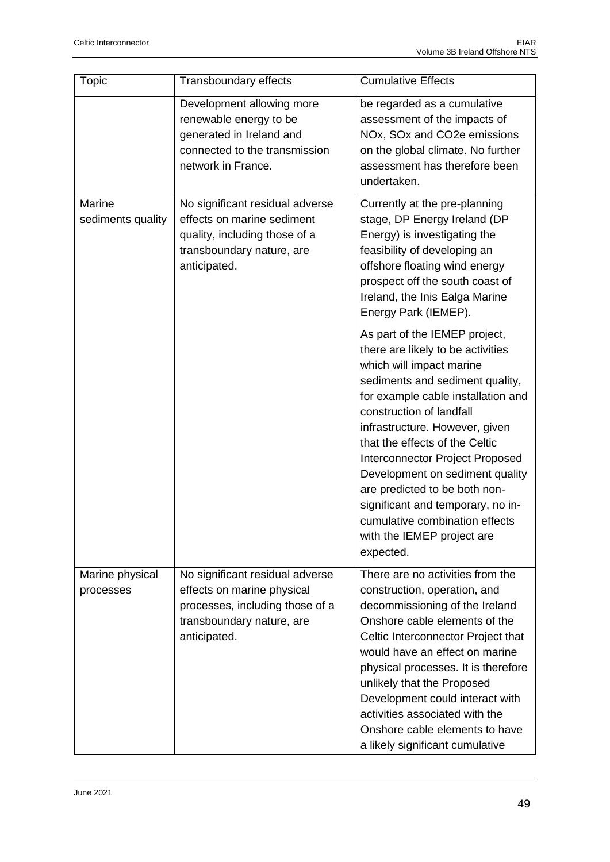| Topic                        | Transboundary effects                                                                                                                         | <b>Cumulative Effects</b>                                                                                                                                                                                                                                                                                                                                                                                                                                                                        |
|------------------------------|-----------------------------------------------------------------------------------------------------------------------------------------------|--------------------------------------------------------------------------------------------------------------------------------------------------------------------------------------------------------------------------------------------------------------------------------------------------------------------------------------------------------------------------------------------------------------------------------------------------------------------------------------------------|
|                              | Development allowing more<br>renewable energy to be<br>generated in Ireland and<br>connected to the transmission<br>network in France.        | be regarded as a cumulative<br>assessment of the impacts of<br>NOx, SOx and CO2e emissions<br>on the global climate. No further<br>assessment has therefore been<br>undertaken.                                                                                                                                                                                                                                                                                                                  |
| Marine<br>sediments quality  | No significant residual adverse<br>effects on marine sediment<br>quality, including those of a<br>transboundary nature, are<br>anticipated.   | Currently at the pre-planning<br>stage, DP Energy Ireland (DP<br>Energy) is investigating the<br>feasibility of developing an<br>offshore floating wind energy<br>prospect off the south coast of<br>Ireland, the Inis Ealga Marine<br>Energy Park (IEMEP).                                                                                                                                                                                                                                      |
|                              |                                                                                                                                               | As part of the IEMEP project,<br>there are likely to be activities<br>which will impact marine<br>sediments and sediment quality,<br>for example cable installation and<br>construction of landfall<br>infrastructure. However, given<br>that the effects of the Celtic<br>Interconnector Project Proposed<br>Development on sediment quality<br>are predicted to be both non-<br>significant and temporary, no in-<br>cumulative combination effects<br>with the IEMEP project are<br>expected. |
| Marine physical<br>processes | No significant residual adverse<br>effects on marine physical<br>processes, including those of a<br>transboundary nature, are<br>anticipated. | There are no activities from the<br>construction, operation, and<br>decommissioning of the Ireland<br>Onshore cable elements of the<br>Celtic Interconnector Project that<br>would have an effect on marine<br>physical processes. It is therefore<br>unlikely that the Proposed<br>Development could interact with<br>activities associated with the<br>Onshore cable elements to have<br>a likely significant cumulative                                                                       |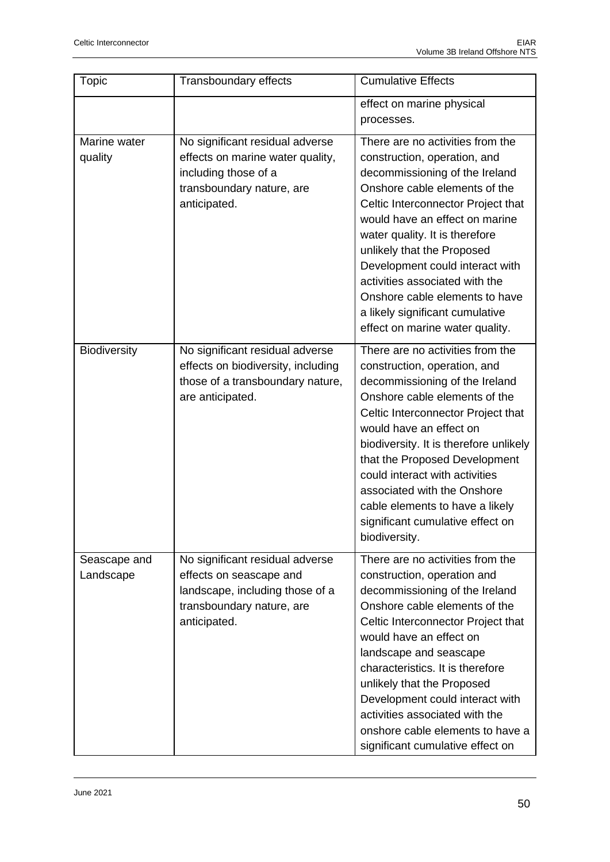| <b>Topic</b>              | Transboundary effects                                                                                                                      | <b>Cumulative Effects</b>                                                                                                                                                                                                                                                                                                                                                                                                                                |
|---------------------------|--------------------------------------------------------------------------------------------------------------------------------------------|----------------------------------------------------------------------------------------------------------------------------------------------------------------------------------------------------------------------------------------------------------------------------------------------------------------------------------------------------------------------------------------------------------------------------------------------------------|
|                           |                                                                                                                                            | effect on marine physical<br>processes.                                                                                                                                                                                                                                                                                                                                                                                                                  |
| Marine water<br>quality   | No significant residual adverse<br>effects on marine water quality,<br>including those of a<br>transboundary nature, are<br>anticipated.   | There are no activities from the<br>construction, operation, and<br>decommissioning of the Ireland<br>Onshore cable elements of the<br>Celtic Interconnector Project that<br>would have an effect on marine<br>water quality. It is therefore<br>unlikely that the Proposed<br>Development could interact with<br>activities associated with the<br>Onshore cable elements to have<br>a likely significant cumulative<br>effect on marine water quality. |
| <b>Biodiversity</b>       | No significant residual adverse<br>effects on biodiversity, including<br>those of a transboundary nature,<br>are anticipated.              | There are no activities from the<br>construction, operation, and<br>decommissioning of the Ireland<br>Onshore cable elements of the<br>Celtic Interconnector Project that<br>would have an effect on<br>biodiversity. It is therefore unlikely<br>that the Proposed Development<br>could interact with activities<br>associated with the Onshore<br>cable elements to have a likely<br>significant cumulative effect on<br>biodiversity.                 |
| Seascape and<br>Landscape | No significant residual adverse<br>effects on seascape and<br>landscape, including those of a<br>transboundary nature, are<br>anticipated. | There are no activities from the<br>construction, operation and<br>decommissioning of the Ireland<br>Onshore cable elements of the<br>Celtic Interconnector Project that<br>would have an effect on<br>landscape and seascape<br>characteristics. It is therefore<br>unlikely that the Proposed<br>Development could interact with<br>activities associated with the<br>onshore cable elements to have a<br>significant cumulative effect on             |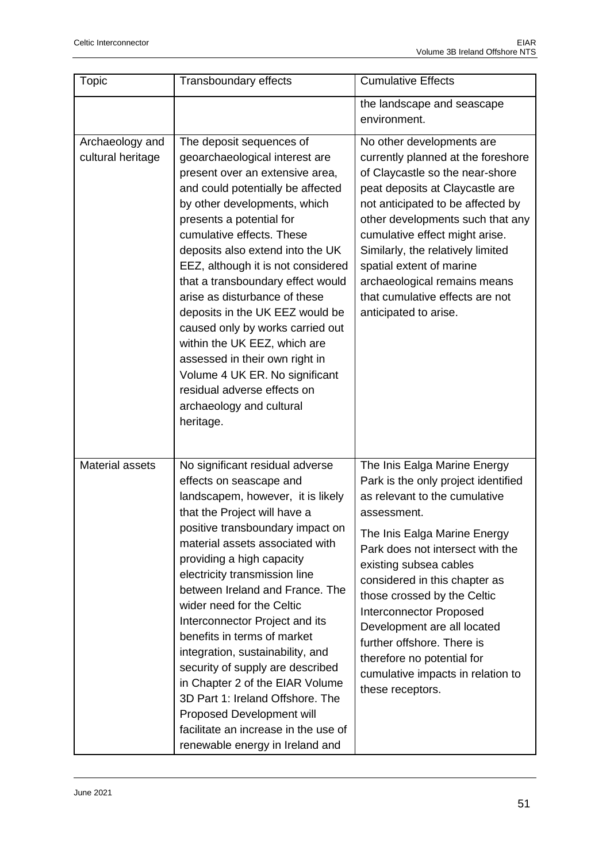| Topic                                | Transboundary effects                                                                                                                                                                                                                                                                                                                                                                                                                                                                                                                                                                                                                                        | <b>Cumulative Effects</b>                                                                                                                                                                                                                                                                                                                                                                                                                                               |
|--------------------------------------|--------------------------------------------------------------------------------------------------------------------------------------------------------------------------------------------------------------------------------------------------------------------------------------------------------------------------------------------------------------------------------------------------------------------------------------------------------------------------------------------------------------------------------------------------------------------------------------------------------------------------------------------------------------|-------------------------------------------------------------------------------------------------------------------------------------------------------------------------------------------------------------------------------------------------------------------------------------------------------------------------------------------------------------------------------------------------------------------------------------------------------------------------|
|                                      |                                                                                                                                                                                                                                                                                                                                                                                                                                                                                                                                                                                                                                                              | the landscape and seascape<br>environment.                                                                                                                                                                                                                                                                                                                                                                                                                              |
| Archaeology and<br>cultural heritage | The deposit sequences of<br>geoarchaeological interest are<br>present over an extensive area,<br>and could potentially be affected<br>by other developments, which<br>presents a potential for<br>cumulative effects. These<br>deposits also extend into the UK<br>EEZ, although it is not considered<br>that a transboundary effect would<br>arise as disturbance of these<br>deposits in the UK EEZ would be<br>caused only by works carried out<br>within the UK EEZ, which are<br>assessed in their own right in<br>Volume 4 UK ER. No significant<br>residual adverse effects on<br>archaeology and cultural<br>heritage.                               | No other developments are<br>currently planned at the foreshore<br>of Claycastle so the near-shore<br>peat deposits at Claycastle are<br>not anticipated to be affected by<br>other developments such that any<br>cumulative effect might arise.<br>Similarly, the relatively limited<br>spatial extent of marine<br>archaeological remains means<br>that cumulative effects are not<br>anticipated to arise.                                                           |
| <b>Material assets</b>               | No significant residual adverse<br>effects on seascape and<br>landscapem, however, it is likely<br>that the Project will have a<br>positive transboundary impact on<br>material assets associated with<br>providing a high capacity<br>electricity transmission line<br>between Ireland and France. The<br>wider need for the Celtic<br>Interconnector Project and its<br>benefits in terms of market<br>integration, sustainability, and<br>security of supply are described<br>in Chapter 2 of the EIAR Volume<br>3D Part 1: Ireland Offshore. The<br>Proposed Development will<br>facilitate an increase in the use of<br>renewable energy in Ireland and | The Inis Ealga Marine Energy<br>Park is the only project identified<br>as relevant to the cumulative<br>assessment.<br>The Inis Ealga Marine Energy<br>Park does not intersect with the<br>existing subsea cables<br>considered in this chapter as<br>those crossed by the Celtic<br><b>Interconnector Proposed</b><br>Development are all located<br>further offshore. There is<br>therefore no potential for<br>cumulative impacts in relation to<br>these receptors. |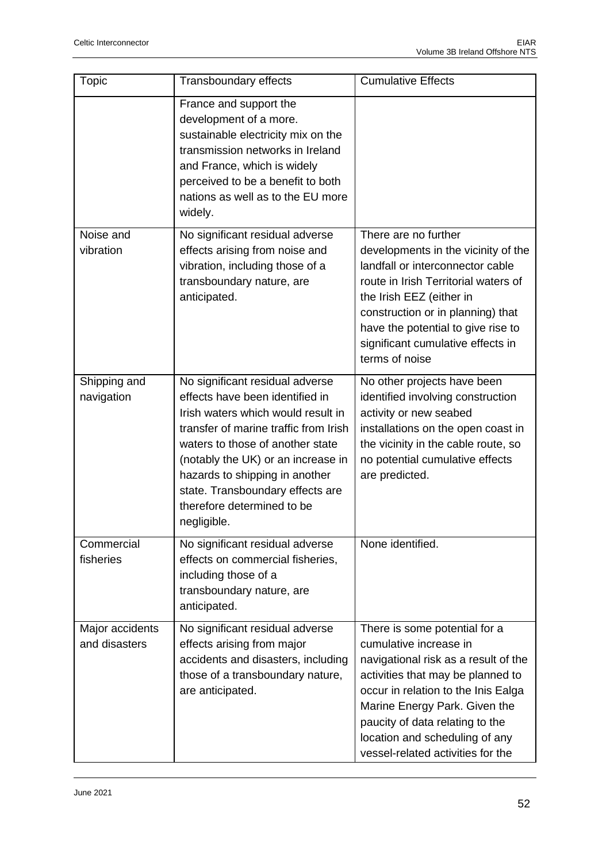| Topic                            | Transboundary effects                                                                                                                                                                                                                                                                                                                          | <b>Cumulative Effects</b>                                                                                                                                                                                                                                                                                              |
|----------------------------------|------------------------------------------------------------------------------------------------------------------------------------------------------------------------------------------------------------------------------------------------------------------------------------------------------------------------------------------------|------------------------------------------------------------------------------------------------------------------------------------------------------------------------------------------------------------------------------------------------------------------------------------------------------------------------|
|                                  | France and support the<br>development of a more.<br>sustainable electricity mix on the<br>transmission networks in Ireland<br>and France, which is widely<br>perceived to be a benefit to both<br>nations as well as to the EU more<br>widely.                                                                                                 |                                                                                                                                                                                                                                                                                                                        |
| Noise and<br>vibration           | No significant residual adverse<br>effects arising from noise and<br>vibration, including those of a<br>transboundary nature, are<br>anticipated.                                                                                                                                                                                              | There are no further<br>developments in the vicinity of the<br>landfall or interconnector cable<br>route in Irish Territorial waters of<br>the Irish EEZ (either in<br>construction or in planning) that<br>have the potential to give rise to<br>significant cumulative effects in<br>terms of noise                  |
| Shipping and<br>navigation       | No significant residual adverse<br>effects have been identified in<br>Irish waters which would result in<br>transfer of marine traffic from Irish<br>waters to those of another state<br>(notably the UK) or an increase in<br>hazards to shipping in another<br>state. Transboundary effects are<br>therefore determined to be<br>negligible. | No other projects have been<br>identified involving construction<br>activity or new seabed<br>installations on the open coast in<br>the vicinity in the cable route, so<br>no potential cumulative effects<br>are predicted.                                                                                           |
| Commercial<br>fisheries          | No significant residual adverse<br>effects on commercial fisheries,<br>including those of a<br>transboundary nature, are<br>anticipated.                                                                                                                                                                                                       | None identified.                                                                                                                                                                                                                                                                                                       |
| Major accidents<br>and disasters | No significant residual adverse<br>effects arising from major<br>accidents and disasters, including<br>those of a transboundary nature,<br>are anticipated.                                                                                                                                                                                    | There is some potential for a<br>cumulative increase in<br>navigational risk as a result of the<br>activities that may be planned to<br>occur in relation to the Inis Ealga<br>Marine Energy Park. Given the<br>paucity of data relating to the<br>location and scheduling of any<br>vessel-related activities for the |